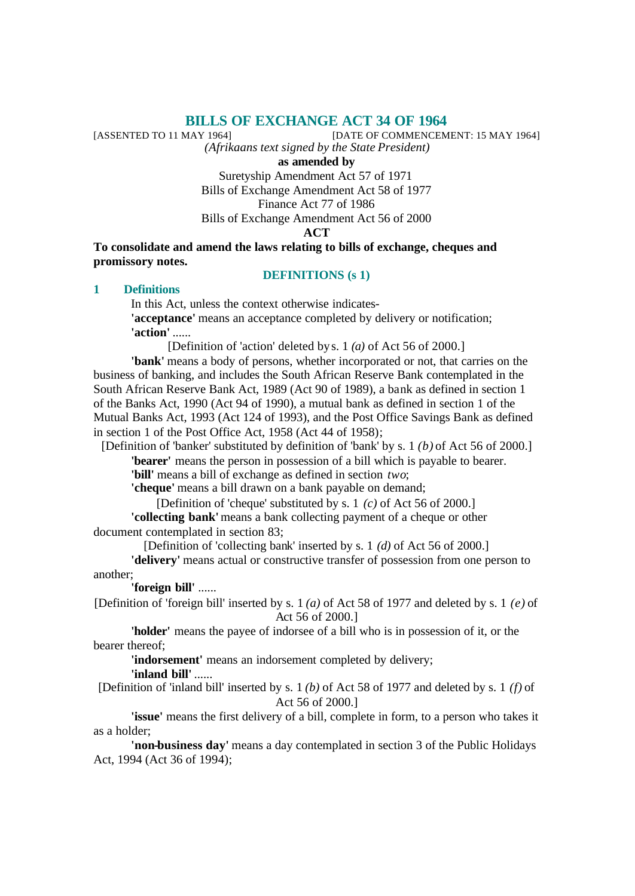# **BILLS OF EXCHANGE ACT 34 OF 1964**<br>[DATE OF COMMENCEM]

[DATE OF COMMENCEMENT: 15 MAY 1964]

*(Afrikaans text signed by the State President)*

**as amended by**

Suretyship Amendment Act 57 of 1971 Bills of Exchange Amendment Act 58 of 1977 Finance Act 77 of 1986 Bills of Exchange Amendment Act 56 of 2000 **ACT**

**To consolidate and amend the laws relating to bills of exchange, cheques and promissory notes.**

#### **DEFINITIONS (s 1)**

### **1 Definitions**

In this Act, unless the context otherwise indicates- **'acceptance'** means an acceptance completed by delivery or notification; **'action'** ......

[Definition of 'action' deleted by s. 1 *(a)* of Act 56 of 2000.]

**'bank'** means a body of persons, whether incorporated or not, that carries on the business of banking, and includes the South African Reserve Bank contemplated in the South African Reserve Bank Act, 1989 (Act 90 of 1989), a bank as defined in section 1 of the Banks Act, 1990 (Act 94 of 1990), a mutual bank as defined in section 1 of the Mutual Banks Act, 1993 (Act 124 of 1993), and the Post Office Savings Bank as defined in section 1 of the Post Office Act, 1958 (Act 44 of 1958);

[Definition of 'banker' substituted by definition of 'bank' by s. 1 *(b)* of Act 56 of 2000.] **'bearer'** means the person in possession of a bill which is payable to bearer.

**'bill'** means a bill of exchange as defined in section *two*;

**'cheque'** means a bill drawn on a bank payable on demand;

[Definition of 'cheque' substituted by s. 1 *(c)* of Act 56 of 2000.] **'collecting bank'** means a bank collecting payment of a cheque or other document contemplated in section 83;

[Definition of 'collecting bank' inserted by s. 1 *(d)* of Act 56 of 2000.]

**'delivery'** means actual or constructive transfer of possession from one person to another;

**'foreign bill'** ......

[Definition of 'foreign bill' inserted by s. 1 *(a)* of Act 58 of 1977 and deleted by s. 1 *(e)* of Act 56 of 2000.]

**'holder'** means the payee of indorsee of a bill who is in possession of it, or the bearer thereof;

**'indorsement'** means an indorsement completed by delivery; **'inland bill'** ......

[Definition of 'inland bill' inserted by s. 1 *(b)* of Act 58 of 1977 and deleted by s. 1 *(f)* of Act 56 of 2000.]

**'issue'** means the first delivery of a bill, complete in form, to a person who takes it as a holder;

**'non-business day'** means a day contemplated in section 3 of the Public Holidays Act, 1994 (Act 36 of 1994);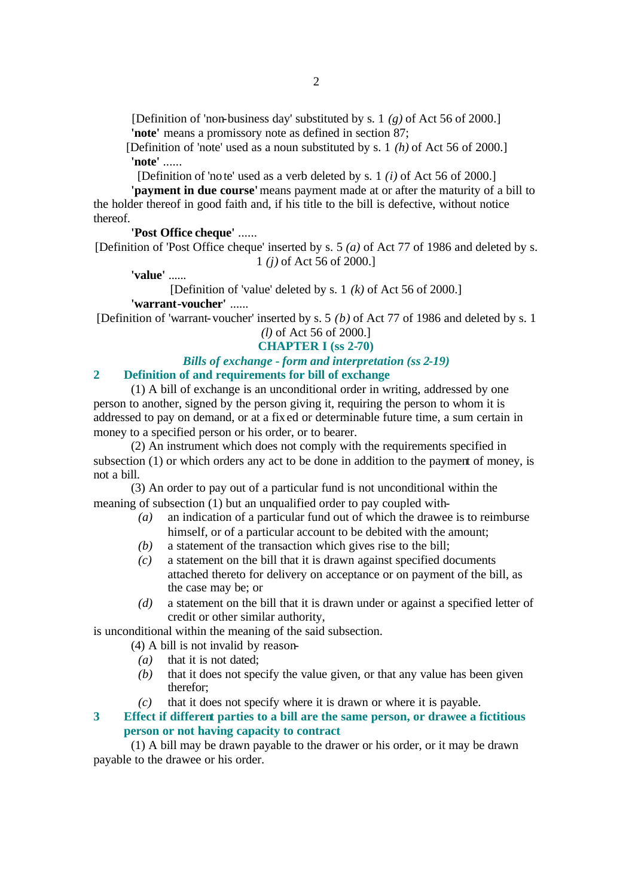[Definition of 'non-business day' substituted by s. 1 *(g)* of Act 56 of 2000.] 'note' means a promissory note as defined in section 87;

[Definition of 'note' used as a noun substituted by s. 1 *(h)* of Act 56 of 2000.] **'note'** ......

[Definition of 'note' used as a verb deleted by s. 1 *(i)* of Act 56 of 2000.]

**'payment in due course'** means payment made at or after the maturity of a bill to the holder thereof in good faith and, if his title to the bill is defective, without notice thereof.

### **'Post Office cheque'** ......

[Definition of 'Post Office cheque' inserted by s. 5 *(a)* of Act 77 of 1986 and deleted by s. 1 *(j)* of Act 56 of 2000.]

**'value'** ......

[Definition of 'value' deleted by s. 1 *(k)* of Act 56 of 2000.] **'warrant-voucher'** ......

[Definition of 'warrant-voucher' inserted by s. 5 *(b)* of Act 77 of 1986 and deleted by s. 1 *(l)* of Act 56 of 2000.]

### **CHAPTER I (ss 2-70)**

### *Bills of exchange - form and interpretation (ss 2-19)* **2 Definition of and requirements for bill of exchange**

(1) A bill of exchange is an unconditional order in writing, addressed by one person to another, signed by the person giving it, requiring the person to whom it is addressed to pay on demand, or at a fixed or determinable future time, a sum certain in money to a specified person or his order, or to bearer.

(2) An instrument which does not comply with the requirements specified in subsection (1) or which orders any act to be done in addition to the payment of money, is not a bill.

(3) An order to pay out of a particular fund is not unconditional within the meaning of subsection (1) but an unqualified order to pay coupled with-

- *(a)* an indication of a particular fund out of which the drawee is to reimburse himself, or of a particular account to be debited with the amount:
- *(b)* a statement of the transaction which gives rise to the bill;
- *(c)* a statement on the bill that it is drawn against specified documents attached thereto for delivery on acceptance or on payment of the bill, as the case may be; or
- *(d)* a statement on the bill that it is drawn under or against a specified letter of credit or other similar authority,

is unconditional within the meaning of the said subsection.

- (4) A bill is not invalid by reason-
	- *(a)* that it is not dated;
	- *(b)* that it does not specify the value given, or that any value has been given therefor;
	- *(c)* that it does not specify where it is drawn or where it is payable.

### **3 Effect if different parties to a bill are the same person, or drawee a fictitious person or not having capacity to contract**

(1) A bill may be drawn payable to the drawer or his order, or it may be drawn payable to the drawee or his order.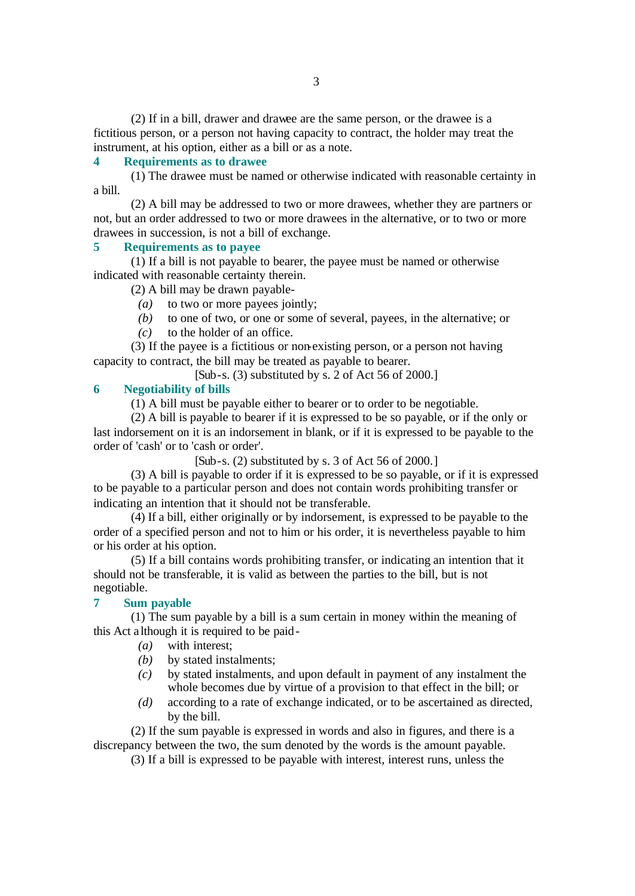(2) If in a bill, drawer and drawee are the same person, or the drawee is a fictitious person, or a person not having capacity to contract, the holder may treat the instrument, at his option, either as a bill or as a note.

#### **4 Requirements as to drawee**

(1) The drawee must be named or otherwise indicated with reasonable certainty in a bill.

(2) A bill may be addressed to two or more drawees, whether they are partners or not, but an order addressed to two or more drawees in the alternative, or to two or more drawees in succession, is not a bill of exchange.

### **5 Requirements as to payee**

(1) If a bill is not payable to bearer, the payee must be named or otherwise indicated with reasonable certainty therein.

(2) A bill may be drawn payable-

*(a)* to two or more payees jointly;

- *(b)* to one of two, or one or some of several, payees, in the alternative; or
- *(c)* to the holder of an office.

(3) If the payee is a fictitious or non-existing person, or a person not having capacity to contract, the bill may be treated as payable to bearer.

[Sub-s. (3) substituted by s. 2 of Act 56 of 2000.]

### **6 Negotiability of bills**

(1) A bill must be payable either to bearer or to order to be negotiable.

(2) A bill is payable to bearer if it is expressed to be so payable, or if the only or last indorsement on it is an indorsement in blank, or if it is expressed to be payable to the order of 'cash' or to 'cash or order'.

 $[Sub-s. (2)$  substituted by s. 3 of Act 56 of 2000.

(3) A bill is payable to order if it is expressed to be so payable, or if it is expressed to be payable to a particular person and does not contain words prohibiting transfer or indicating an intention that it should not be transferable.

(4) If a bill, either originally or by indorsement, is expressed to be payable to the order of a specified person and not to him or his order, it is nevertheless payable to him or his order at his option.

(5) If a bill contains words prohibiting transfer, or indicating an intention that it should not be transferable, it is valid as between the parties to the bill, but is not negotiable.

### **7 Sum payable**

(1) The sum payable by a bill is a sum certain in money within the meaning of this Act although it is required to be paid-

- *(a)* with interest;
- *(b)* by stated instalments;
- *(c)* by stated instalments, and upon default in payment of any instalment the whole becomes due by virtue of a provision to that effect in the bill; or
- *(d)* according to a rate of exchange indicated, or to be ascertained as directed, by the bill.

(2) If the sum payable is expressed in words and also in figures, and there is a discrepancy between the two, the sum denoted by the words is the amount payable.

(3) If a bill is expressed to be payable with interest, interest runs, unless the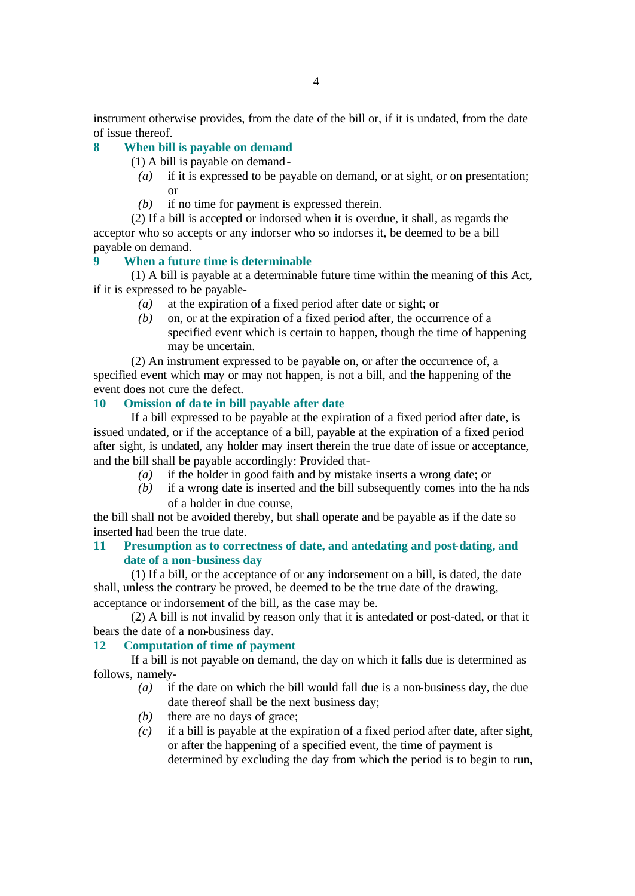instrument otherwise provides, from the date of the bill or, if it is undated, from the date of issue thereof.

### **8 When bill is payable on demand**

- (1) A bill is payable on demand-
	- *(a)* if it is expressed to be payable on demand, or at sight, or on presentation; or
	- *(b)* if no time for payment is expressed therein.

(2) If a bill is accepted or indorsed when it is overdue, it shall, as regards the acceptor who so accepts or any indorser who so indorses it, be deemed to be a bill payable on demand.

### **9 When a future time is determinable**

(1) A bill is payable at a determinable future time within the meaning of this Act, if it is expressed to be payable-

- *(a)* at the expiration of a fixed period after date or sight; or
- *(b)* on, or at the expiration of a fixed period after, the occurrence of a specified event which is certain to happen, though the time of happening may be uncertain.

(2) An instrument expressed to be payable on, or after the occurrence of, a specified event which may or may not happen, is not a bill, and the happening of the event does not cure the defect.

### **10 Omission of date in bill payable after date**

If a bill expressed to be payable at the expiration of a fixed period after date, is issued undated, or if the acceptance of a bill, payable at the expiration of a fixed period after sight, is undated, any holder may insert therein the true date of issue or acceptance, and the bill shall be payable accordingly: Provided that-

- *(a)* if the holder in good faith and by mistake inserts a wrong date; or
- *(b)* if a wrong date is inserted and the bill subsequently comes into the ha nds of a holder in due course,

the bill shall not be avoided thereby, but shall operate and be payable as if the date so inserted had been the true date.

### **11 Presumption as to correctness of date, and antedating and post-dating, and date of a non-business day**

(1) If a bill, or the acceptance of or any indorsement on a bill, is dated, the date shall, unless the contrary be proved, be deemed to be the true date of the drawing, acceptance or indorsement of the bill, as the case may be.

(2) A bill is not invalid by reason only that it is antedated or post-dated, or that it bears the date of a non-business day.

### **12 Computation of time of payment**

If a bill is not payable on demand, the day on which it falls due is determined as follows, namely-

- *(a)* if the date on which the bill would fall due is a non-business day, the due date thereof shall be the next business day;
- *(b)* there are no days of grace;
- *(c)* if a bill is payable at the expiration of a fixed period after date, after sight, or after the happening of a specified event, the time of payment is determined by excluding the day from which the period is to begin to run,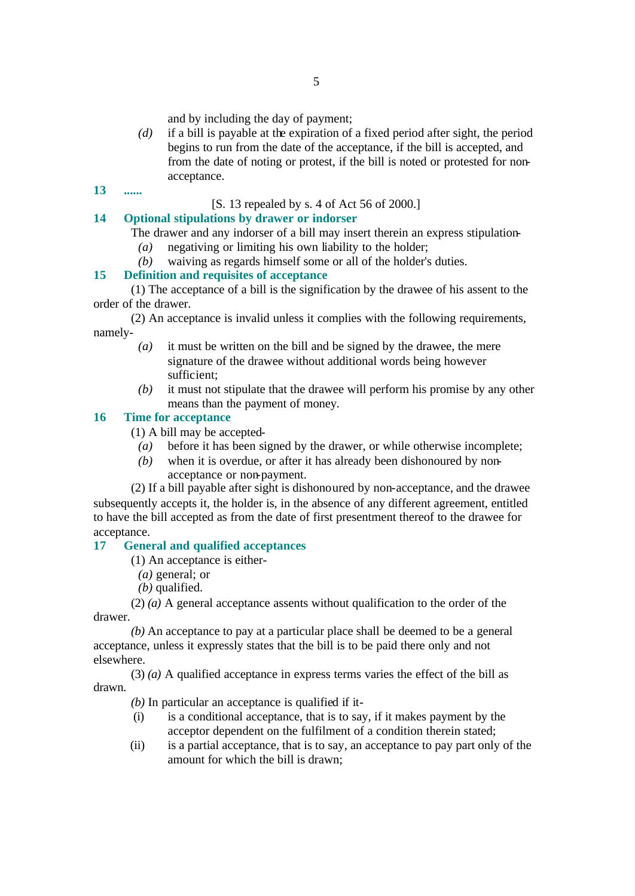and by including the day of payment;

- *(d)* if a bill is payable at the expiration of a fixed period after sight, the period begins to run from the date of the acceptance, if the bill is accepted, and from the date of noting or protest, if the bill is noted or protested for nonacceptance.
- **13 ......**

### [S. 13 repealed by s. 4 of Act 56 of 2000.]

### **14 Optional stipulations by drawer or indorser**

The drawer and any indorser of a bill may insert therein an express stipulation-

- *(a)* negativing or limiting his own liability to the holder;
- *(b)* waiving as regards himself some or all of the holder's duties.

### **15 Definition and requisites of acceptance**

(1) The acceptance of a bill is the signification by the drawee of his assent to the order of the drawer.

(2) An acceptance is invalid unless it complies with the following requirements, namely-

- *(a)* it must be written on the bill and be signed by the drawee, the mere signature of the drawee without additional words being however sufficient;
- *(b)* it must not stipulate that the drawee will perform his promise by any other means than the payment of money.

### **16 Time for acceptance**

(1) A bill may be accepted-

- *(a)* before it has been signed by the drawer, or while otherwise incomplete;
- *(b)* when it is overdue, or after it has already been dishonoured by nonacceptance or non-payment.

(2) If a bill payable after sight is dishonoured by non-acceptance, and the drawee subsequently accepts it, the holder is, in the absence of any different agreement, entitled to have the bill accepted as from the date of first presentment thereof to the drawee for acceptance.

### **17 General and qualified acceptances**

(1) An acceptance is either-

- *(a)* general; or
- *(b)* qualified.

(2) *(a)* A general acceptance assents without qualification to the order of the drawer.

*(b)* An acceptance to pay at a particular place shall be deemed to be a general acceptance, unless it expressly states that the bill is to be paid there only and not elsewhere.

(3) *(a)* A qualified acceptance in express terms varies the effect of the bill as drawn.

- *(b)* In particular an acceptance is qualified if it-
- (i) is a conditional acceptance, that is to say, if it makes payment by the acceptor dependent on the fulfilment of a condition therein stated;
- (ii) is a partial acceptance, that is to say, an acceptance to pay part only of the amount for which the bill is drawn;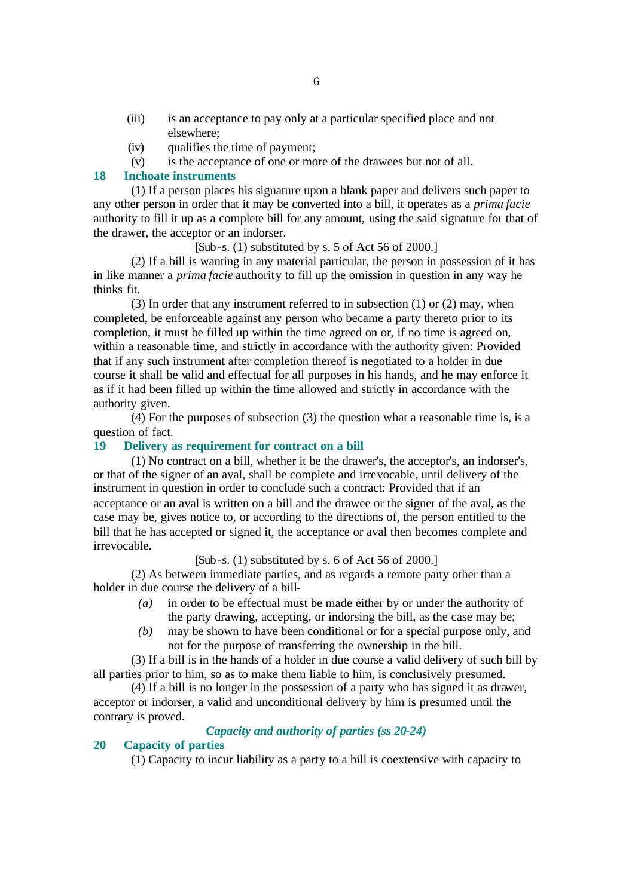- (iii) is an acceptance to pay only at a particular specified place and not elsewhere;
- (iv) qualifies the time of payment;
- (v) is the acceptance of one or more of the drawees but not of all.

### **18 Inchoate instruments**

(1) If a person places his signature upon a blank paper and delivers such paper to any other person in order that it may be converted into a bill, it operates as a *prima facie* authority to fill it up as a complete bill for any amount, using the said signature for that of the drawer, the acceptor or an indorser.

#### $[Sub-s. (1)$  substituted by s. 5 of Act 56 of 2000.

(2) If a bill is wanting in any material particular, the person in possession of it has in like manner a *prima facie* authority to fill up the omission in question in any way he thinks fit.

(3) In order that any instrument referred to in subsection (1) or (2) may, when completed, be enforceable against any person who became a party thereto prior to its completion, it must be filled up within the time agreed on or, if no time is agreed on, within a reasonable time, and strictly in accordance with the authority given: Provided that if any such instrument after completion thereof is negotiated to a holder in due course it shall be valid and effectual for all purposes in his hands, and he may enforce it as if it had been filled up within the time allowed and strictly in accordance with the authority given.

(4) For the purposes of subsection (3) the question what a reasonable time is, is a question of fact.

### **19 Delivery as requirement for contract on a bill**

(1) No contract on a bill, whether it be the drawer's, the acceptor's, an indorser's, or that of the signer of an aval, shall be complete and irrevocable, until delivery of the instrument in question in order to conclude such a contract: Provided that if an acceptance or an aval is written on a bill and the drawee or the signer of the aval, as the case may be, gives notice to, or according to the directions of, the person entitled to the bill that he has accepted or signed it, the acceptance or aval then becomes complete and irrevocable.

[Sub-s. (1) substituted by s. 6 of Act 56 of 2000.]

(2) As between immediate parties, and as regards a remote party other than a holder in due course the delivery of a bill-

- *(a)* in order to be effectual must be made either by or under the authority of the party drawing, accepting, or indorsing the bill, as the case may be;
- *(b)* may be shown to have been conditional or for a special purpose only, and not for the purpose of transferring the ownership in the bill.

(3) If a bill is in the hands of a holder in due course a valid delivery of such bill by all parties prior to him, so as to make them liable to him, is conclusively presumed.

(4) If a bill is no longer in the possession of a party who has signed it as drawer, acceptor or indorser, a valid and unconditional delivery by him is presumed until the contrary is proved.

### *Capacity and authority of parties (ss 20-24)*

#### **20 Capacity of parties**

(1) Capacity to incur liability as a party to a bill is coextensive with capacity to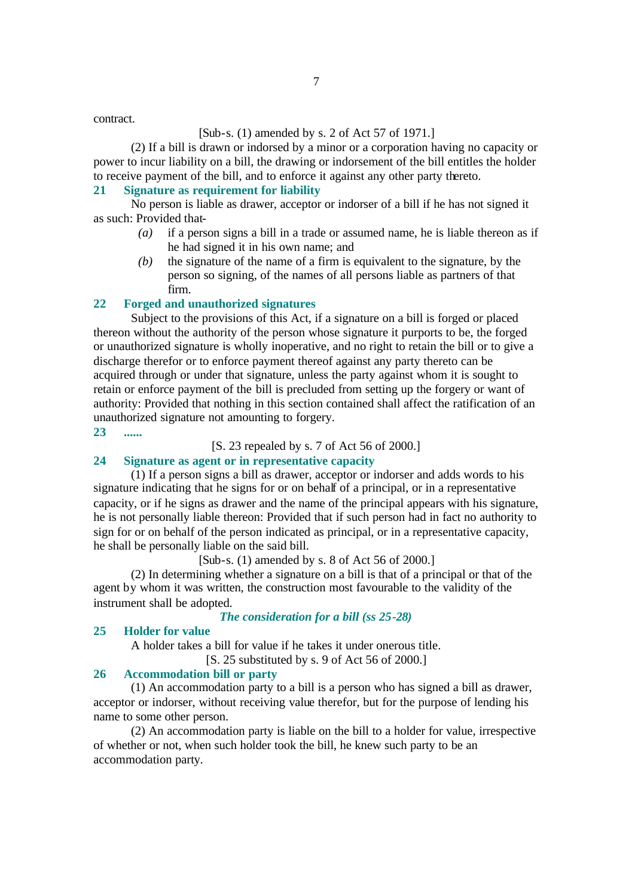#### [Sub-s. (1) amended by s. 2 of Act 57 of 1971.]

(2) If a bill is drawn or indorsed by a minor or a corporation having no capacity or power to incur liability on a bill, the drawing or indorsement of the bill entitles the holder to receive payment of the bill, and to enforce it against any other party thereto.

### **21 Signature as requirement for liability**

No person is liable as drawer, acceptor or indorser of a bill if he has not signed it as such: Provided that-

- *(a)* if a person signs a bill in a trade or assumed name, he is liable thereon as if he had signed it in his own name; and
- *(b)* the signature of the name of a firm is equivalent to the signature, by the person so signing, of the names of all persons liable as partners of that firm.

#### **22 Forged and unauthorized signatures**

Subject to the provisions of this Act, if a signature on a bill is forged or placed thereon without the authority of the person whose signature it purports to be, the forged or unauthorized signature is wholly inoperative, and no right to retain the bill or to give a discharge therefor or to enforce payment thereof against any party thereto can be acquired through or under that signature, unless the party against whom it is sought to retain or enforce payment of the bill is precluded from setting up the forgery or want of authority: Provided that nothing in this section contained shall affect the ratification of an unauthorized signature not amounting to forgery.

**23 ......**

[S. 23 repealed by s. 7 of Act 56 of 2000.]

#### **24 Signature as agent or in representative capacity**

(1) If a person signs a bill as drawer, acceptor or indorser and adds words to his signature indicating that he signs for or on behalf of a principal, or in a representative capacity, or if he signs as drawer and the name of the principal appears with his signature, he is not personally liable thereon: Provided that if such person had in fact no authority to sign for or on behalf of the person indicated as principal, or in a representative capacity, he shall be personally liable on the said bill.

[Sub-s. (1) amended by s. 8 of Act 56 of 2000.]

(2) In determining whether a signature on a bill is that of a principal or that of the agent by whom it was written, the construction most favourable to the validity of the instrument shall be adopted.

### *The consideration for a bill (ss 25-28)*

### **25 Holder for value**

A holder takes a bill for value if he takes it under onerous title.

[S. 25 substituted by s. 9 of Act 56 of 2000.]

### **26 Accommodation bill or party**

(1) An accommodation party to a bill is a person who has signed a bill as drawer, acceptor or indorser, without receiving value therefor, but for the purpose of lending his name to some other person.

(2) An accommodation party is liable on the bill to a holder for value, irrespective of whether or not, when such holder took the bill, he knew such party to be an accommodation party.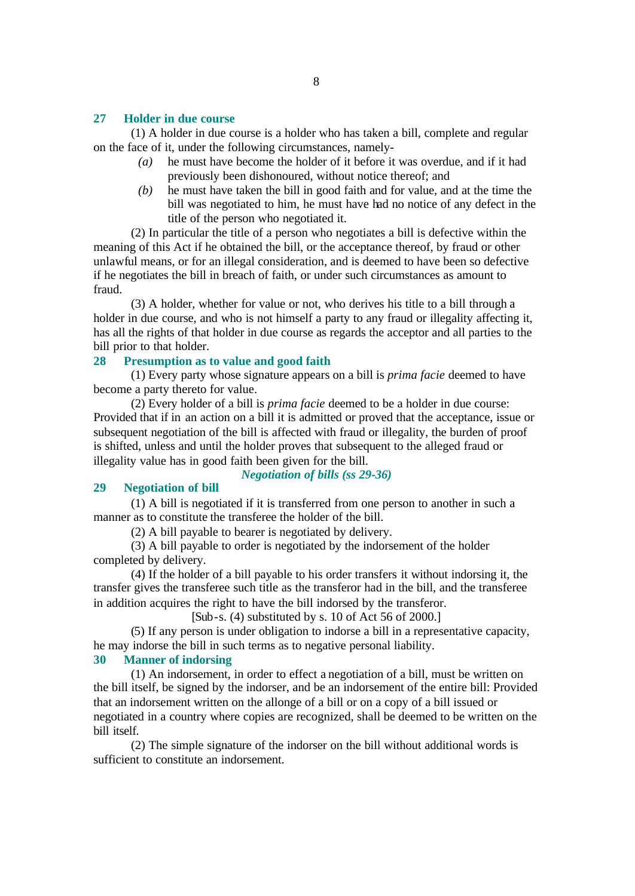#### **27 Holder in due course**

(1) A holder in due course is a holder who has taken a bill, complete and regular on the face of it, under the following circumstances, namely-

- *(a)* he must have become the holder of it before it was overdue, and if it had previously been dishonoured, without notice thereof; and
- *(b)* he must have taken the bill in good faith and for value, and at the time the bill was negotiated to him, he must have had no notice of any defect in the title of the person who negotiated it.

(2) In particular the title of a person who negotiates a bill is defective within the meaning of this Act if he obtained the bill, or the acceptance thereof, by fraud or other unlawful means, or for an illegal consideration, and is deemed to have been so defective if he negotiates the bill in breach of faith, or under such circumstances as amount to fraud.

(3) A holder, whether for value or not, who derives his title to a bill through a holder in due course, and who is not himself a party to any fraud or illegality affecting it, has all the rights of that holder in due course as regards the acceptor and all parties to the bill prior to that holder.

#### **28 Presumption as to value and good faith**

(1) Every party whose signature appears on a bill is *prima facie* deemed to have become a party thereto for value.

(2) Every holder of a bill is *prima facie* deemed to be a holder in due course: Provided that if in an action on a bill it is admitted or proved that the acceptance, issue or subsequent negotiation of the bill is affected with fraud or illegality, the burden of proof is shifted, unless and until the holder proves that subsequent to the alleged fraud or illegality value has in good faith been given for the bill.

*Negotiation of bills (ss 29-36)*

#### **29 Negotiation of bill**

(1) A bill is negotiated if it is transferred from one person to another in such a manner as to constitute the transferee the holder of the bill.

(2) A bill payable to bearer is negotiated by delivery.

(3) A bill payable to order is negotiated by the indorsement of the holder completed by delivery.

(4) If the holder of a bill payable to his order transfers it without indorsing it, the transfer gives the transferee such title as the transferor had in the bill, and the transferee in addition acquires the right to have the bill indorsed by the transferor.

[Sub-s. (4) substituted by s. 10 of Act 56 of 2000.]

(5) If any person is under obligation to indorse a bill in a representative capacity, he may indorse the bill in such terms as to negative personal liability.

### **30 Manner of indorsing**

(1) An indorsement, in order to effect a negotiation of a bill, must be written on the bill itself, be signed by the indorser, and be an indorsement of the entire bill: Provided that an indorsement written on the allonge of a bill or on a copy of a bill issued or negotiated in a country where copies are recognized, shall be deemed to be written on the bill itself.

(2) The simple signature of the indorser on the bill without additional words is sufficient to constitute an indorsement.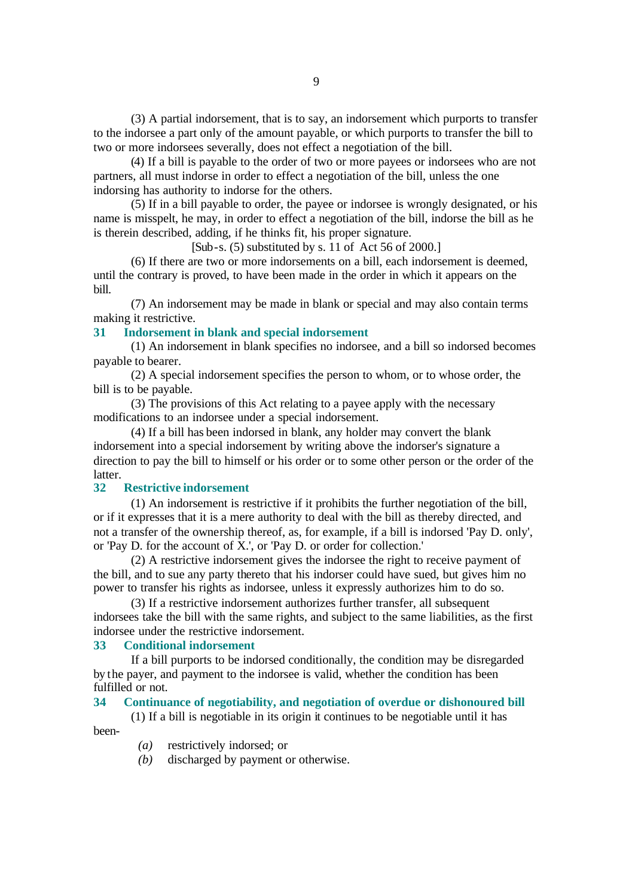(3) A partial indorsement, that is to say, an indorsement which purports to transfer to the indorsee a part only of the amount payable, or which purports to transfer the bill to two or more indorsees severally, does not effect a negotiation of the bill.

(4) If a bill is payable to the order of two or more payees or indorsees who are not partners, all must indorse in order to effect a negotiation of the bill, unless the one indorsing has authority to indorse for the others.

(5) If in a bill payable to order, the payee or indorsee is wrongly designated, or his name is misspelt, he may, in order to effect a negotiation of the bill, indorse the bill as he is therein described, adding, if he thinks fit, his proper signature.

 $[Sub-s. (5)$  substituted by s. 11 of Act 56 of 2000.]

(6) If there are two or more indorsements on a bill, each indorsement is deemed, until the contrary is proved, to have been made in the order in which it appears on the bill.

(7) An indorsement may be made in blank or special and may also contain terms making it restrictive.

### **31 Indorsement in blank and special indorsement**

(1) An indorsement in blank specifies no indorsee, and a bill so indorsed becomes payable to bearer.

(2) A special indorsement specifies the person to whom, or to whose order, the bill is to be payable.

(3) The provisions of this Act relating to a payee apply with the necessary modifications to an indorsee under a special indorsement.

(4) If a bill has been indorsed in blank, any holder may convert the blank indorsement into a special indorsement by writing above the indorser's signature a direction to pay the bill to himself or his order or to some other person or the order of the latter.

### **32 Restrictive indorsement**

(1) An indorsement is restrictive if it prohibits the further negotiation of the bill, or if it expresses that it is a mere authority to deal with the bill as thereby directed, and not a transfer of the ownership thereof, as, for example, if a bill is indorsed 'Pay D. only', or 'Pay D. for the account of X.', or 'Pay D. or order for collection.'

(2) A restrictive indorsement gives the indorsee the right to receive payment of the bill, and to sue any party thereto that his indorser could have sued, but gives him no power to transfer his rights as indorsee, unless it expressly authorizes him to do so.

(3) If a restrictive indorsement authorizes further transfer, all subsequent indorsees take the bill with the same rights, and subject to the same liabilities, as the first indorsee under the restrictive indorsement.

#### **33 Conditional indorsement**

If a bill purports to be indorsed conditionally, the condition may be disregarded by the payer, and payment to the indorsee is valid, whether the condition has been fulfilled or not.

#### **34 Continuance of negotiability, and negotiation of overdue or dishonoured bill**

(1) If a bill is negotiable in its origin it continues to be negotiable until it has been-

- *(a)* restrictively indorsed; or
- *(b)* discharged by payment or otherwise.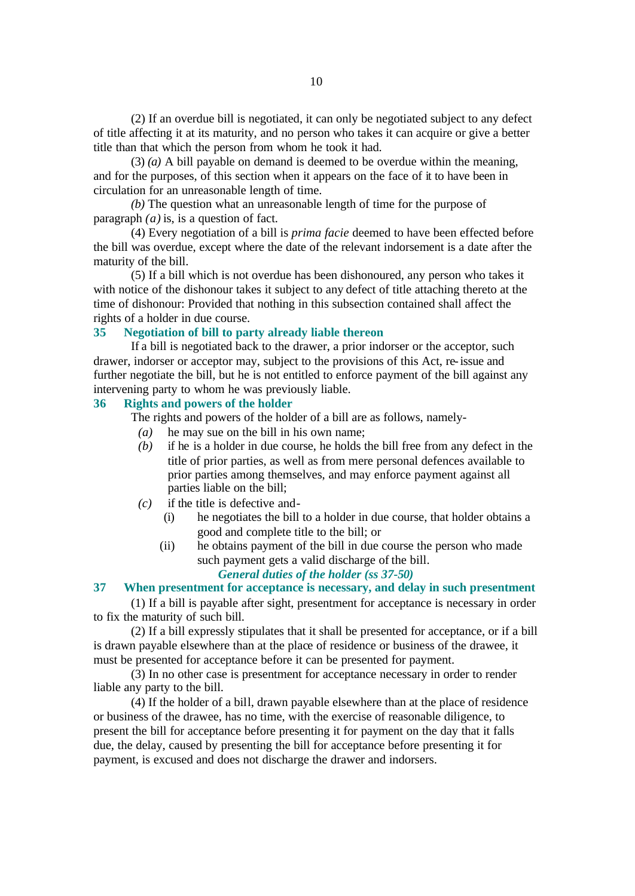(2) If an overdue bill is negotiated, it can only be negotiated subject to any defect of title affecting it at its maturity, and no person who takes it can acquire or give a better title than that which the person from whom he took it had.

(3) *(a)* A bill payable on demand is deemed to be overdue within the meaning, and for the purposes, of this section when it appears on the face of it to have been in circulation for an unreasonable length of time.

*(b)* The question what an unreasonable length of time for the purpose of paragraph *(a)* is, is a question of fact.

(4) Every negotiation of a bill is *prima facie* deemed to have been effected before the bill was overdue, except where the date of the relevant indorsement is a date after the maturity of the bill.

(5) If a bill which is not overdue has been dishonoured, any person who takes it with notice of the dishonour takes it subject to any defect of title attaching thereto at the time of dishonour: Provided that nothing in this subsection contained shall affect the rights of a holder in due course.

### **35 Negotiation of bill to party already liable thereon**

If a bill is negotiated back to the drawer, a prior indorser or the acceptor, such drawer, indorser or acceptor may, subject to the provisions of this Act, re-issue and further negotiate the bill, but he is not entitled to enforce payment of the bill against any intervening party to whom he was previously liable.

### **36 Rights and powers of the holder**

The rights and powers of the holder of a bill are as follows, namely-

- *(a)* he may sue on the bill in his own name;
- *(b)* if he is a holder in due course, he holds the bill free from any defect in the title of prior parties, as well as from mere personal defences available to prior parties among themselves, and may enforce payment against all parties liable on the bill;
- *(c)* if the title is defective and-
	- (i) he negotiates the bill to a holder in due course, that holder obtains a good and complete title to the bill; or
	- (ii) he obtains payment of the bill in due course the person who made such payment gets a valid discharge of the bill.

#### *General duties of the holder (ss 37-50)*

### **37 When presentment for acceptance is necessary, and delay in such presentment**

(1) If a bill is payable after sight, presentment for acceptance is necessary in order to fix the maturity of such bill.

(2) If a bill expressly stipulates that it shall be presented for acceptance, or if a bill is drawn payable elsewhere than at the place of residence or business of the drawee, it must be presented for acceptance before it can be presented for payment.

(3) In no other case is presentment for acceptance necessary in order to render liable any party to the bill.

(4) If the holder of a bill, drawn payable elsewhere than at the place of residence or business of the drawee, has no time, with the exercise of reasonable diligence, to present the bill for acceptance before presenting it for payment on the day that it falls due, the delay, caused by presenting the bill for acceptance before presenting it for payment, is excused and does not discharge the drawer and indorsers.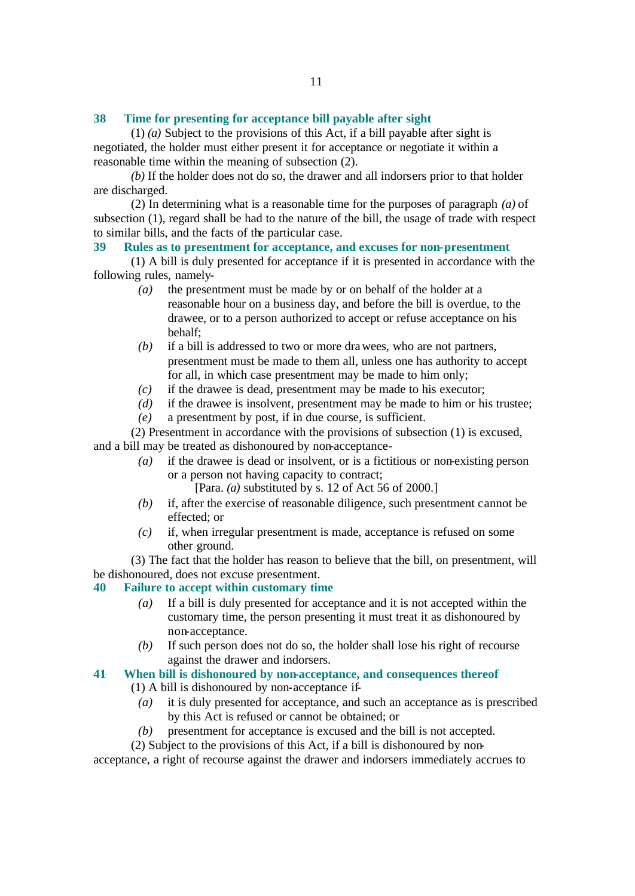#### **38 Time for presenting for acceptance bill payable after sight**

(1) *(a)* Subject to the provisions of this Act, if a bill payable after sight is negotiated, the holder must either present it for acceptance or negotiate it within a reasonable time within the meaning of subsection (2).

*(b)* If the holder does not do so, the drawer and all indorsers prior to that holder are discharged.

(2) In determining what is a reasonable time for the purposes of paragraph *(a)* of subsection (1), regard shall be had to the nature of the bill, the usage of trade with respect to similar bills, and the facts of the particular case.

### **39 Rules as to presentment for acceptance, and excuses for non-presentment**

(1) A bill is duly presented for acceptance if it is presented in accordance with the following rules, namely-

- *(a)* the presentment must be made by or on behalf of the holder at a reasonable hour on a business day, and before the bill is overdue, to the drawee, or to a person authorized to accept or refuse acceptance on his behalf;
- *(b)* if a bill is addressed to two or more drawees, who are not partners, presentment must be made to them all, unless one has authority to accept for all, in which case presentment may be made to him only;
- *(c)* if the drawee is dead, presentment may be made to his executor;
- *(d)* if the drawee is insolvent, presentment may be made to him or his trustee;
- *(e)* a presentment by post, if in due course, is sufficient.

(2) Presentment in accordance with the provisions of subsection (1) is excused, and a bill may be treated as dishonoured by non-acceptance-

- *(a)* if the drawee is dead or insolvent, or is a fictitious or non-existing person or a person not having capacity to contract;
	- [Para. *(a)* substituted by s. 12 of Act 56 of 2000.]
- *(b)* if, after the exercise of reasonable diligence, such presentment cannot be effected; or
- *(c)* if, when irregular presentment is made, acceptance is refused on some other ground.

(3) The fact that the holder has reason to believe that the bill, on presentment, will be dishonoured, does not excuse presentment.

#### **40 Failure to accept within customary time**

- *(a)* If a bill is duly presented for acceptance and it is not accepted within the customary time, the person presenting it must treat it as dishonoured by non-acceptance.
- *(b)* If such person does not do so, the holder shall lose his right of recourse against the drawer and indorsers.
- **41 When bill is dishonoured by non-acceptance, and consequences thereof**
	- (1) A bill is dishonoured by non-acceptance if-
		- *(a)* it is duly presented for acceptance, and such an acceptance as is prescribed by this Act is refused or cannot be obtained; or
		- *(b)* presentment for acceptance is excused and the bill is not accepted.
	- (2) Subject to the provisions of this Act, if a bill is dishonoured by non-

acceptance, a right of recourse against the drawer and indorsers immediately accrues to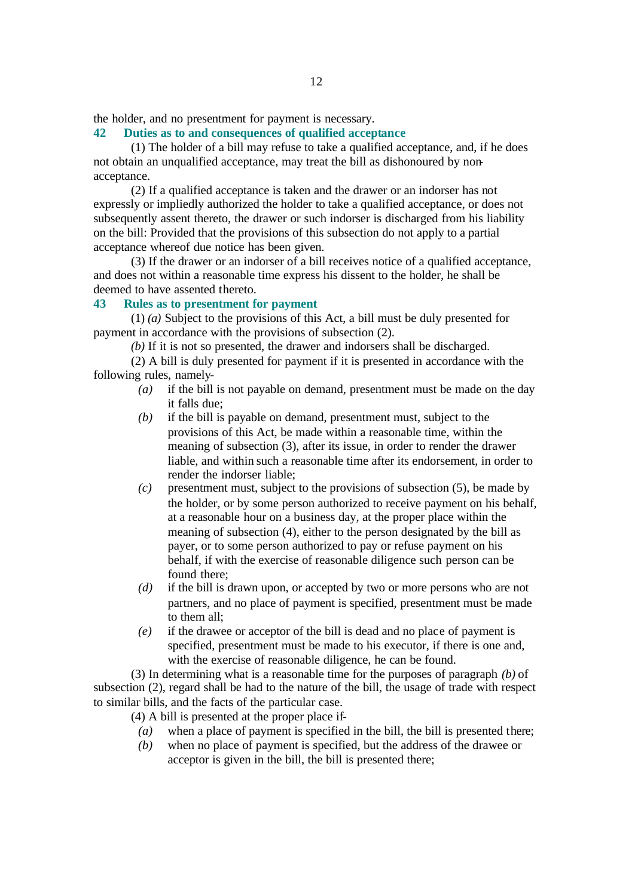the holder, and no presentment for payment is necessary.

### **42 Duties as to and consequences of qualified acceptance**

(1) The holder of a bill may refuse to take a qualified acceptance, and, if he does not obtain an unqualified acceptance, may treat the bill as dishonoured by nonacceptance.

(2) If a qualified acceptance is taken and the drawer or an indorser has not expressly or impliedly authorized the holder to take a qualified acceptance, or does not subsequently assent thereto, the drawer or such indorser is discharged from his liability on the bill: Provided that the provisions of this subsection do not apply to a partial acceptance whereof due notice has been given.

(3) If the drawer or an indorser of a bill receives notice of a qualified acceptance, and does not within a reasonable time express his dissent to the holder, he shall be deemed to have assented thereto.

#### **43 Rules as to presentment for payment**

(1) *(a)* Subject to the provisions of this Act, a bill must be duly presented for payment in accordance with the provisions of subsection (2).

*(b)* If it is not so presented, the drawer and indorsers shall be discharged.

(2) A bill is duly presented for payment if it is presented in accordance with the following rules, namely-

- *(a)* if the bill is not payable on demand, presentment must be made on the day it falls due;
- *(b)* if the bill is payable on demand, presentment must, subject to the provisions of this Act, be made within a reasonable time, within the meaning of subsection (3), after its issue, in order to render the drawer liable, and within such a reasonable time after its endorsement, in order to render the indorser liable;
- *(c)* presentment must, subject to the provisions of subsection (5), be made by the holder, or by some person authorized to receive payment on his behalf, at a reasonable hour on a business day, at the proper place within the meaning of subsection (4), either to the person designated by the bill as payer, or to some person authorized to pay or refuse payment on his behalf, if with the exercise of reasonable diligence such person can be found there;
- *(d)* if the bill is drawn upon, or accepted by two or more persons who are not partners, and no place of payment is specified, presentment must be made to them all;
- *(e)* if the drawee or acceptor of the bill is dead and no place of payment is specified, presentment must be made to his executor, if there is one and, with the exercise of reasonable diligence, he can be found.

(3) In determining what is a reasonable time for the purposes of paragraph *(b)* of subsection (2), regard shall be had to the nature of the bill, the usage of trade with respect to similar bills, and the facts of the particular case.

(4) A bill is presented at the proper place if-

- *(a)* when a place of payment is specified in the bill, the bill is presented there;
- *(b)* when no place of payment is specified, but the address of the drawee or acceptor is given in the bill, the bill is presented there;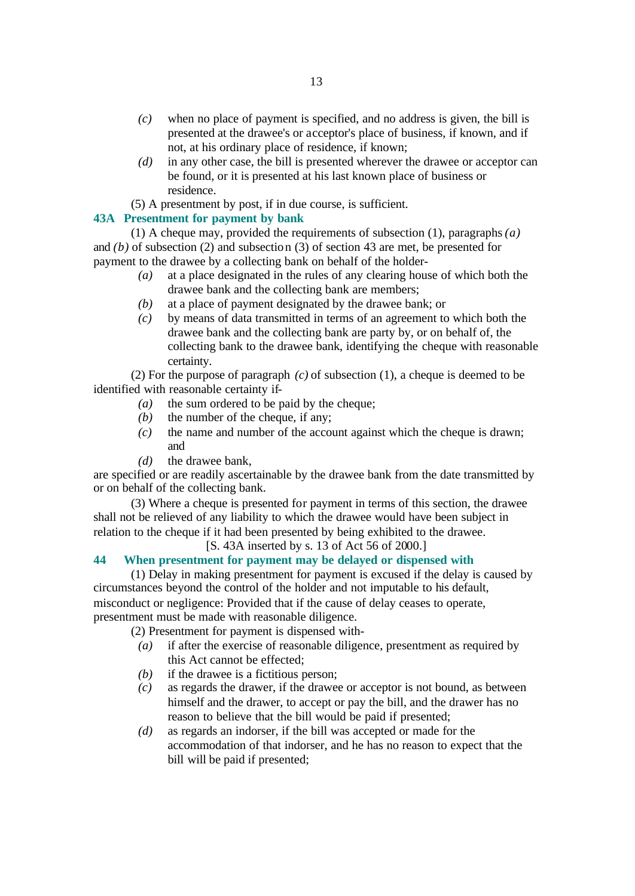- *(c)* when no place of payment is specified, and no address is given, the bill is presented at the drawee's or acceptor's place of business, if known, and if not, at his ordinary place of residence, if known;
- *(d)* in any other case, the bill is presented wherever the drawee or acceptor can be found, or it is presented at his last known place of business or residence.
- (5) A presentment by post, if in due course, is sufficient.

### **43A Presentment for payment by bank**

(1) A cheque may, provided the requirements of subsection (1), paragraphs *(a)* and *(b)* of subsection (2) and subsection (3) of section 43 are met, be presented for payment to the drawee by a collecting bank on behalf of the holder-

- *(a)* at a place designated in the rules of any clearing house of which both the drawee bank and the collecting bank are members;
- *(b)* at a place of payment designated by the drawee bank; or
- *(c)* by means of data transmitted in terms of an agreement to which both the drawee bank and the collecting bank are party by, or on behalf of, the collecting bank to the drawee bank, identifying the cheque with reasonable certainty.

(2) For the purpose of paragraph *(c)* of subsection (1), a cheque is deemed to be identified with reasonable certainty if-

- *(a)* the sum ordered to be paid by the cheque;
- *(b)* the number of the cheque, if any;
- *(c)* the name and number of the account against which the cheque is drawn; and
- *(d)* the drawee bank,

are specified or are readily ascertainable by the drawee bank from the date transmitted by or on behalf of the collecting bank.

(3) Where a cheque is presented for payment in terms of this section, the drawee shall not be relieved of any liability to which the drawee would have been subject in relation to the cheque if it had been presented by being exhibited to the drawee.

[S. 43A inserted by s. 13 of Act 56 of 2000.]

### **44 When presentment for payment may be delayed or dispensed with**

(1) Delay in making presentment for payment is excused if the delay is caused by circumstances beyond the control of the holder and not imputable to his default, misconduct or negligence: Provided that if the cause of delay ceases to operate, presentment must be made with reasonable diligence.

(2) Presentment for payment is dispensed with-

- *(a)* if after the exercise of reasonable diligence, presentment as required by this Act cannot be effected;
- *(b)* if the drawee is a fictitious person;
- *(c)* as regards the drawer, if the drawee or acceptor is not bound, as between himself and the drawer, to accept or pay the bill, and the drawer has no reason to believe that the bill would be paid if presented;
- *(d)* as regards an indorser, if the bill was accepted or made for the accommodation of that indorser, and he has no reason to expect that the bill will be paid if presented;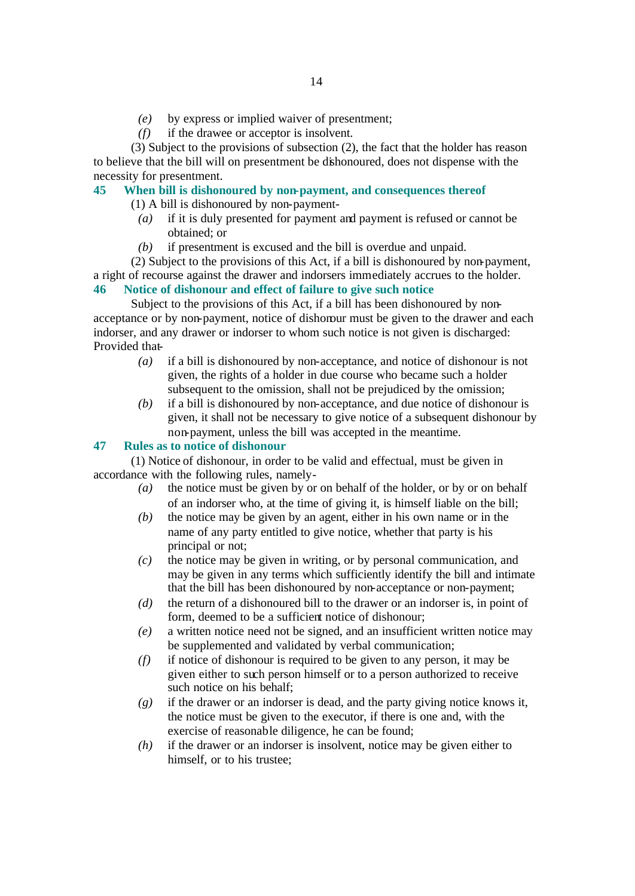- *(e)* by express or implied waiver of presentment;
- *(f)* if the drawee or acceptor is insolvent.

(3) Subject to the provisions of subsection (2), the fact that the holder has reason to believe that the bill will on presentment be dishonoured, does not dispense with the necessity for presentment.

### **45 When bill is dishonoured by non-payment, and consequences thereof**

(1) A bill is dishonoured by non-payment-

- *(a)* if it is duly presented for payment and payment is refused or cannot be obtained; or
- *(b)* if presentment is excused and the bill is overdue and unpaid.

(2) Subject to the provisions of this Act, if a bill is dishonoured by non-payment, a right of recourse against the drawer and indorsers immediately accrues to the holder. **46 Notice of dishonour and effect of failure to give such notice**

Subject to the provisions of this Act, if a bill has been dishonoured by nonacceptance or by non-payment, notice of dishonour must be given to the drawer and each indorser, and any drawer or indorser to whom such notice is not given is discharged: Provided that-

- *(a)* if a bill is dishonoured by non-acceptance, and notice of dishonour is not given, the rights of a holder in due course who became such a holder subsequent to the omission, shall not be prejudiced by the omission;
- *(b)* if a bill is dishonoured by non-acceptance, and due notice of dishonour is given, it shall not be necessary to give notice of a subsequent dishonour by non-payment, unless the bill was accepted in the meantime.

### **47 Rules as to notice of dishonour**

(1) Notice of dishonour, in order to be valid and effectual, must be given in accordance with the following rules, namely-

- *(a)* the notice must be given by or on behalf of the holder, or by or on behalf of an indorser who, at the time of giving it, is himself liable on the bill;
- *(b)* the notice may be given by an agent, either in his own name or in the name of any party entitled to give notice, whether that party is his principal or not;
- *(c)* the notice may be given in writing, or by personal communication, and may be given in any terms which sufficiently identify the bill and intimate that the bill has been dishonoured by non-acceptance or non-payment;
- *(d)* the return of a dishonoured bill to the drawer or an indorser is, in point of form, deemed to be a sufficient notice of dishonour;
- *(e)* a written notice need not be signed, and an insufficient written notice may be supplemented and validated by verbal communication;
- *(f)* if notice of dishonour is required to be given to any person, it may be given either to such person himself or to a person authorized to receive such notice on his behalf;
- *(g)* if the drawer or an indorser is dead, and the party giving notice knows it, the notice must be given to the executor, if there is one and, with the exercise of reasonable diligence, he can be found;
- *(h)* if the drawer or an indorser is insolvent, notice may be given either to himself, or to his trustee;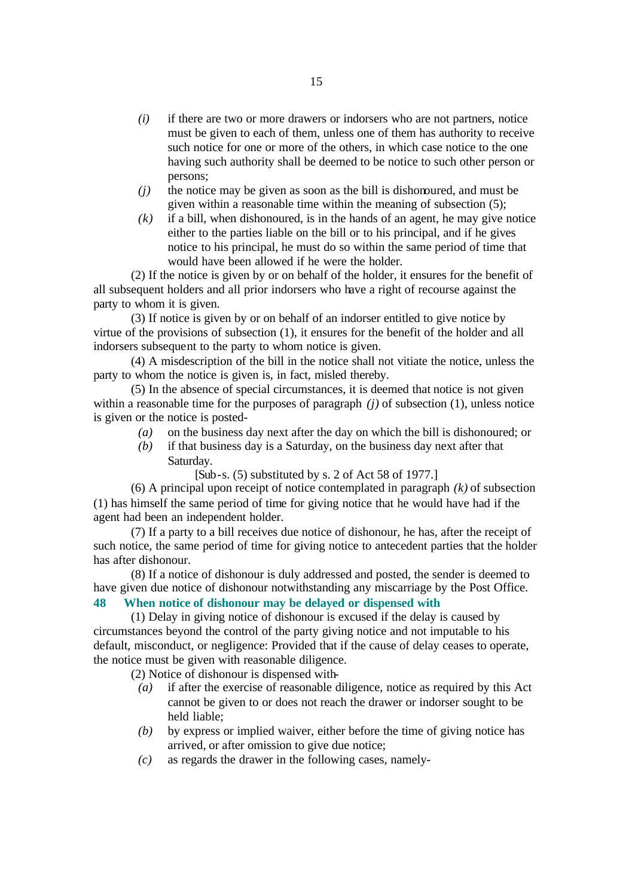- *(i)* if there are two or more drawers or indorsers who are not partners, notice must be given to each of them, unless one of them has authority to receive such notice for one or more of the others, in which case notice to the one having such authority shall be deemed to be notice to such other person or persons;
- *(j)* the notice may be given as soon as the bill is dishonoured, and must be given within a reasonable time within the meaning of subsection (5);
- *(k)* if a bill, when dishonoured, is in the hands of an agent, he may give notice either to the parties liable on the bill or to his principal, and if he gives notice to his principal, he must do so within the same period of time that would have been allowed if he were the holder.

(2) If the notice is given by or on behalf of the holder, it ensures for the benefit of all subsequent holders and all prior indorsers who have a right of recourse against the party to whom it is given.

(3) If notice is given by or on behalf of an indorser entitled to give notice by virtue of the provisions of subsection (1), it ensures for the benefit of the holder and all indorsers subsequent to the party to whom notice is given.

(4) A misdescription of the bill in the notice shall not vitiate the notice, unless the party to whom the notice is given is, in fact, misled thereby.

(5) In the absence of special circumstances, it is deemed that notice is not given within a reasonable time for the purposes of paragraph *(j)* of subsection (1), unless notice is given or the notice is posted-

- *(a)* on the business day next after the day on which the bill is dishonoured; or
- *(b)* if that business day is a Saturday, on the business day next after that Saturday.
	- $[Sub-s. (5)$  substituted by s. 2 of Act 58 of 1977.]

(6) A principal upon receipt of notice contemplated in paragraph *(k)* of subsection (1) has himself the same period of time for giving notice that he would have had if the agent had been an independent holder.

(7) If a party to a bill receives due notice of dishonour, he has, after the receipt of such notice, the same period of time for giving notice to antecedent parties that the holder has after dishonour.

(8) If a notice of dishonour is duly addressed and posted, the sender is deemed to have given due notice of dishonour notwithstanding any miscarriage by the Post Office.

### **48 When notice of dishonour may be delayed or dispensed with**

(1) Delay in giving notice of dishonour is excused if the delay is caused by circumstances beyond the control of the party giving notice and not imputable to his default, misconduct, or negligence: Provided that if the cause of delay ceases to operate, the notice must be given with reasonable diligence.

(2) Notice of dishonour is dispensed with-

- *(a)* if after the exercise of reasonable diligence, notice as required by this Act cannot be given to or does not reach the drawer or indorser sought to be held liable;
- *(b)* by express or implied waiver, either before the time of giving notice has arrived, or after omission to give due notice;
- *(c)* as regards the drawer in the following cases, namely-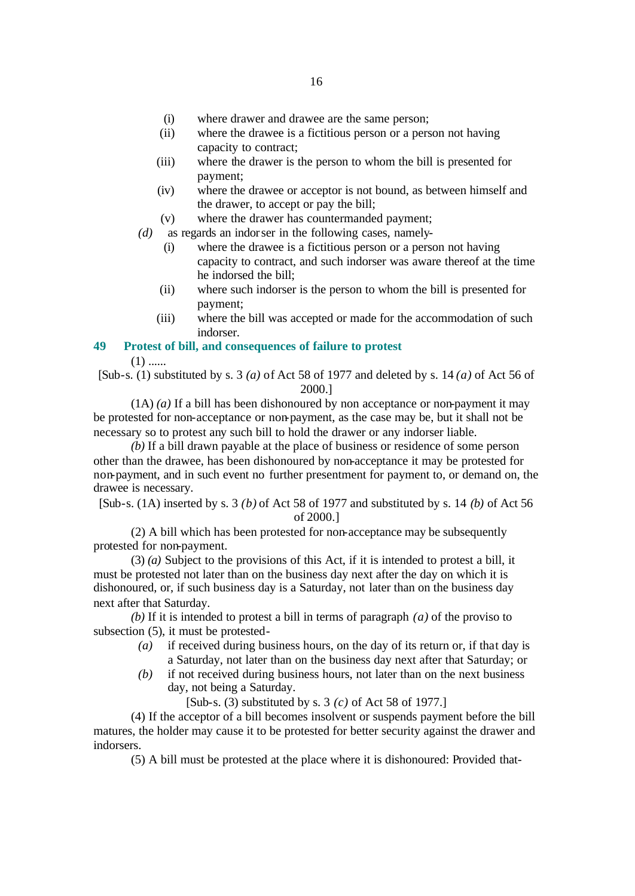- (i) where drawer and drawee are the same person;
- (ii) where the drawee is a fictitious person or a person not having capacity to contract;
- (iii) where the drawer is the person to whom the bill is presented for payment;
- (iv) where the drawee or acceptor is not bound, as between himself and the drawer, to accept or pay the bill;
- (v) where the drawer has countermanded payment;
- *(d)* as regards an indorser in the following cases, namely-
	- (i) where the drawee is a fictitious person or a person not having capacity to contract, and such indorser was aware thereof at the time he indorsed the bill;
	- (ii) where such indorser is the person to whom the bill is presented for payment;
	- (iii) where the bill was accepted or made for the accommodation of such indorser.

### **49 Protest of bill, and consequences of failure to protest**

 $(1)$  ......

[Sub-s. (1) substituted by s. 3 *(a)* of Act 58 of 1977 and deleted by s. 14 *(a)* of Act 56 of 2000.]

(1A) *(a)* If a bill has been dishonoured by non acceptance or non-payment it may be protested for non-acceptance or non-payment, as the case may be, but it shall not be necessary so to protest any such bill to hold the drawer or any indorser liable.

*(b)* If a bill drawn payable at the place of business or residence of some person other than the drawee, has been dishonoured by non-acceptance it may be protested for non-payment, and in such event no further presentment for payment to, or demand on, the drawee is necessary.

[Sub-s. (1A) inserted by s. 3 *(b)* of Act 58 of 1977 and substituted by s. 14 *(b)* of Act 56 of 2000.]

(2) A bill which has been protested for non-acceptance may be subsequently protested for non-payment.

(3) *(a)* Subject to the provisions of this Act, if it is intended to protest a bill, it must be protested not later than on the business day next after the day on which it is dishonoured, or, if such business day is a Saturday, not later than on the business day next after that Saturday.

*(b)* If it is intended to protest a bill in terms of paragraph *(a)* of the proviso to subsection (5), it must be protested-

- *(a)* if received during business hours, on the day of its return or, if that day is a Saturday, not later than on the business day next after that Saturday; or
- *(b)* if not received during business hours, not later than on the next business day, not being a Saturday.

[Sub-s. (3) substituted by s. 3 *(c)* of Act 58 of 1977.]

(4) If the acceptor of a bill becomes insolvent or suspends payment before the bill matures, the holder may cause it to be protested for better security against the drawer and indorsers.

(5) A bill must be protested at the place where it is dishonoured: Provided that-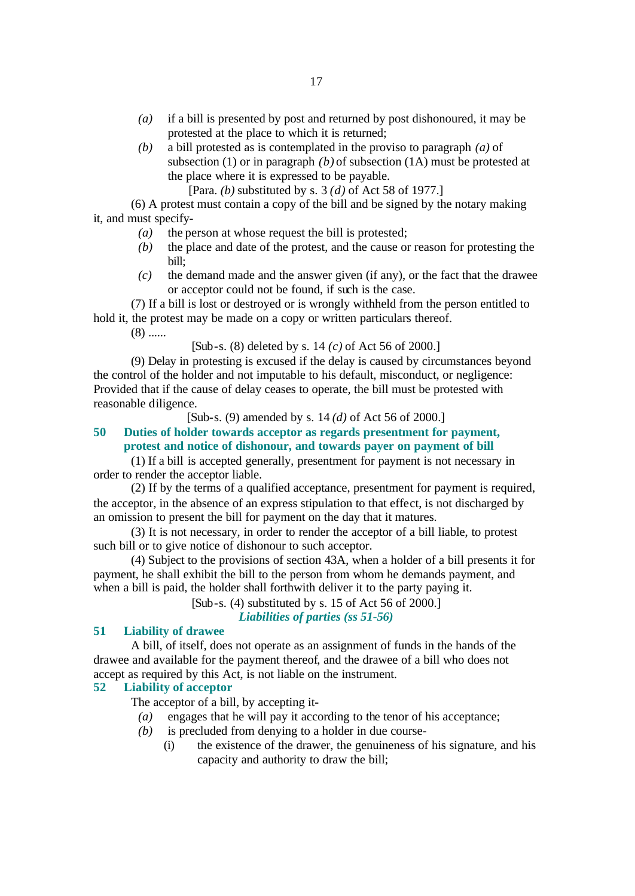- *(a)* if a bill is presented by post and returned by post dishonoured, it may be protested at the place to which it is returned;
- *(b)* a bill protested as is contemplated in the proviso to paragraph *(a)* of subsection (1) or in paragraph *(b)* of subsection (1A) must be protested at the place where it is expressed to be payable.
	- [Para. *(b)* substituted by s. 3 *(d)* of Act 58 of 1977.]

(6) A protest must contain a copy of the bill and be signed by the notary making it, and must specify-

- *(a)* the person at whose request the bill is protested;
- *(b)* the place and date of the protest, and the cause or reason for protesting the bill;
- *(c)* the demand made and the answer given (if any), or the fact that the drawee or acceptor could not be found, if such is the case.

(7) If a bill is lost or destroyed or is wrongly withheld from the person entitled to hold it, the protest may be made on a copy or written particulars thereof.

 $(8)$  ......

[Sub-s. (8) deleted by s. 14 *(c)* of Act 56 of 2000.]

(9) Delay in protesting is excused if the delay is caused by circumstances beyond the control of the holder and not imputable to his default, misconduct, or negligence: Provided that if the cause of delay ceases to operate, the bill must be protested with reasonable diligence.

[Sub-s. (9) amended by s. 14 *(d)* of Act 56 of 2000.]

## **50 Duties of holder towards acceptor as regards presentment for payment,**

**protest and notice of dishonour, and towards payer on payment of bill**

(1) If a bill is accepted generally, presentment for payment is not necessary in order to render the acceptor liable.

(2) If by the terms of a qualified acceptance, presentment for payment is required, the acceptor, in the absence of an express stipulation to that effect, is not discharged by an omission to present the bill for payment on the day that it matures.

(3) It is not necessary, in order to render the acceptor of a bill liable, to protest such bill or to give notice of dishonour to such acceptor.

(4) Subject to the provisions of section 43A, when a holder of a bill presents it for payment, he shall exhibit the bill to the person from whom he demands payment, and when a bill is paid, the holder shall forthwith deliver it to the party paying it.

[Sub-s. (4) substituted by s. 15 of Act 56 of 2000.]

*Liabilities of parties (ss 51-56)*

### **51 Liability of drawee**

A bill, of itself, does not operate as an assignment of funds in the hands of the drawee and available for the payment thereof, and the drawee of a bill who does not accept as required by this Act, is not liable on the instrument.

### **52 Liability of acceptor**

The acceptor of a bill, by accepting it-

- *(a)* engages that he will pay it according to the tenor of his acceptance;
- *(b)* is precluded from denying to a holder in due course-
	- (i) the existence of the drawer, the genuineness of his signature, and his capacity and authority to draw the bill;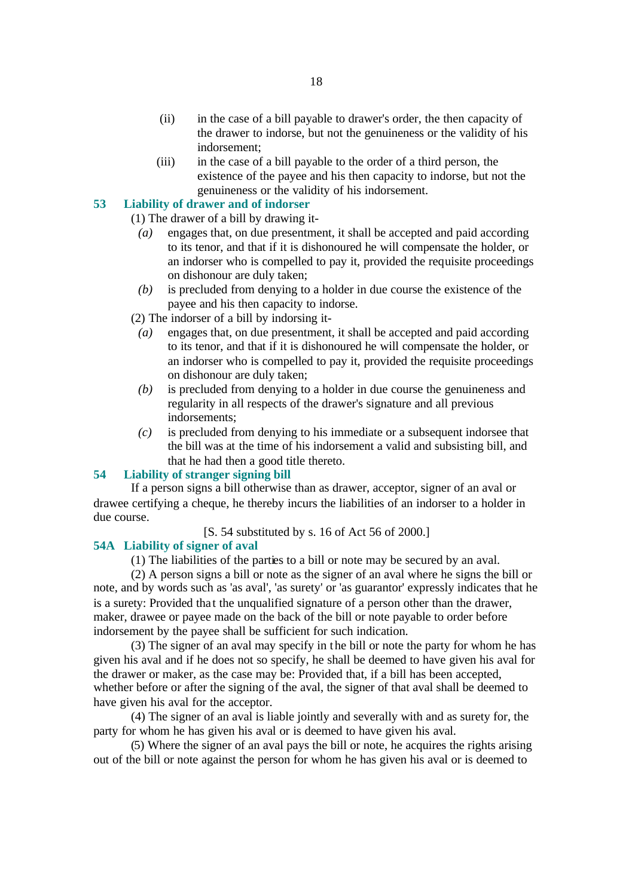- (ii) in the case of a bill payable to drawer's order, the then capacity of the drawer to indorse, but not the genuineness or the validity of his indorsement;
- (iii) in the case of a bill payable to the order of a third person, the existence of the payee and his then capacity to indorse, but not the genuineness or the validity of his indorsement.

### **53 Liability of drawer and of indorser**

(1) The drawer of a bill by drawing it-

- *(a)* engages that, on due presentment, it shall be accepted and paid according to its tenor, and that if it is dishonoured he will compensate the holder, or an indorser who is compelled to pay it, provided the requisite proceedings on dishonour are duly taken;
- *(b)* is precluded from denying to a holder in due course the existence of the payee and his then capacity to indorse.

(2) The indorser of a bill by indorsing it-

- *(a)* engages that, on due presentment, it shall be accepted and paid according to its tenor, and that if it is dishonoured he will compensate the holder, or an indorser who is compelled to pay it, provided the requisite proceedings on dishonour are duly taken;
- *(b)* is precluded from denying to a holder in due course the genuineness and regularity in all respects of the drawer's signature and all previous indorsements;
- *(c)* is precluded from denying to his immediate or a subsequent indorsee that the bill was at the time of his indorsement a valid and subsisting bill, and that he had then a good title thereto.

#### **54 Liability of stranger signing bill**

If a person signs a bill otherwise than as drawer, acceptor, signer of an aval or drawee certifying a cheque, he thereby incurs the liabilities of an indorser to a holder in due course.

#### [S. 54 substituted by s. 16 of Act 56 of 2000.]

#### **54A Liability of signer of aval**

(1) The liabilities of the parties to a bill or note may be secured by an aval.

(2) A person signs a bill or note as the signer of an aval where he signs the bill or note, and by words such as 'as aval', 'as surety' or 'as guarantor' expressly indicates that he is a surety: Provided that the unqualified signature of a person other than the drawer, maker, drawee or payee made on the back of the bill or note payable to order before indorsement by the payee shall be sufficient for such indication.

(3) The signer of an aval may specify in the bill or note the party for whom he has given his aval and if he does not so specify, he shall be deemed to have given his aval for the drawer or maker, as the case may be: Provided that, if a bill has been accepted, whether before or after the signing of the aval, the signer of that aval shall be deemed to have given his aval for the acceptor.

(4) The signer of an aval is liable jointly and severally with and as surety for, the party for whom he has given his aval or is deemed to have given his aval.

(5) Where the signer of an aval pays the bill or note, he acquires the rights arising out of the bill or note against the person for whom he has given his aval or is deemed to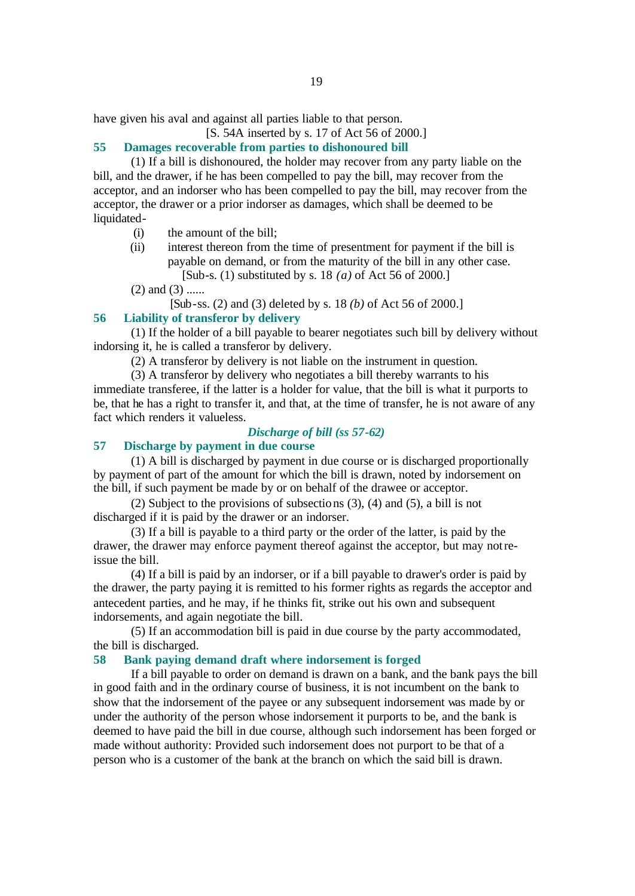have given his aval and against all parties liable to that person.

[S. 54A inserted by s. 17 of Act 56 of 2000.]

### **55 Damages recoverable from parties to dishonoured bill**

(1) If a bill is dishonoured, the holder may recover from any party liable on the bill, and the drawer, if he has been compelled to pay the bill, may recover from the acceptor, and an indorser who has been compelled to pay the bill, may recover from the acceptor, the drawer or a prior indorser as damages, which shall be deemed to be liquidated-

- (i) the amount of the bill;
- (ii) interest thereon from the time of presentment for payment if the bill is payable on demand, or from the maturity of the bill in any other case. [Sub-s. (1) substituted by s. 18 *(a)* of Act 56 of 2000.]
- $(2)$  and  $(3)$  ......

[Sub-ss. (2) and (3) deleted by s. 18 *(b)* of Act 56 of 2000.]

#### **56 Liability of transferor by delivery**

(1) If the holder of a bill payable to bearer negotiates such bill by delivery without indorsing it, he is called a transferor by delivery.

(2) A transferor by delivery is not liable on the instrument in question.

(3) A transferor by delivery who negotiates a bill thereby warrants to his immediate transferee, if the latter is a holder for value, that the bill is what it purports to be, that he has a right to transfer it, and that, at the time of transfer, he is not aware of any fact which renders it valueless.

### *Discharge of bill (ss 57-62)*

### **57 Discharge by payment in due course**

(1) A bill is discharged by payment in due course or is discharged proportionally by payment of part of the amount for which the bill is drawn, noted by indorsement on the bill, if such payment be made by or on behalf of the drawee or acceptor.

(2) Subject to the provisions of subsections (3), (4) and (5), a bill is not discharged if it is paid by the drawer or an indorser.

(3) If a bill is payable to a third party or the order of the latter, is paid by the drawer, the drawer may enforce payment thereof against the acceptor, but may not reissue the bill.

(4) If a bill is paid by an indorser, or if a bill payable to drawer's order is paid by the drawer, the party paying it is remitted to his former rights as regards the acceptor and antecedent parties, and he may, if he thinks fit, strike out his own and subsequent indorsements, and again negotiate the bill.

(5) If an accommodation bill is paid in due course by the party accommodated, the bill is discharged.

#### **58 Bank paying demand draft where indorsement is forged**

If a bill payable to order on demand is drawn on a bank, and the bank pays the bill in good faith and in the ordinary course of business, it is not incumbent on the bank to show that the indorsement of the payee or any subsequent indorsement was made by or under the authority of the person whose indorsement it purports to be, and the bank is deemed to have paid the bill in due course, although such indorsement has been forged or made without authority: Provided such indorsement does not purport to be that of a person who is a customer of the bank at the branch on which the said bill is drawn.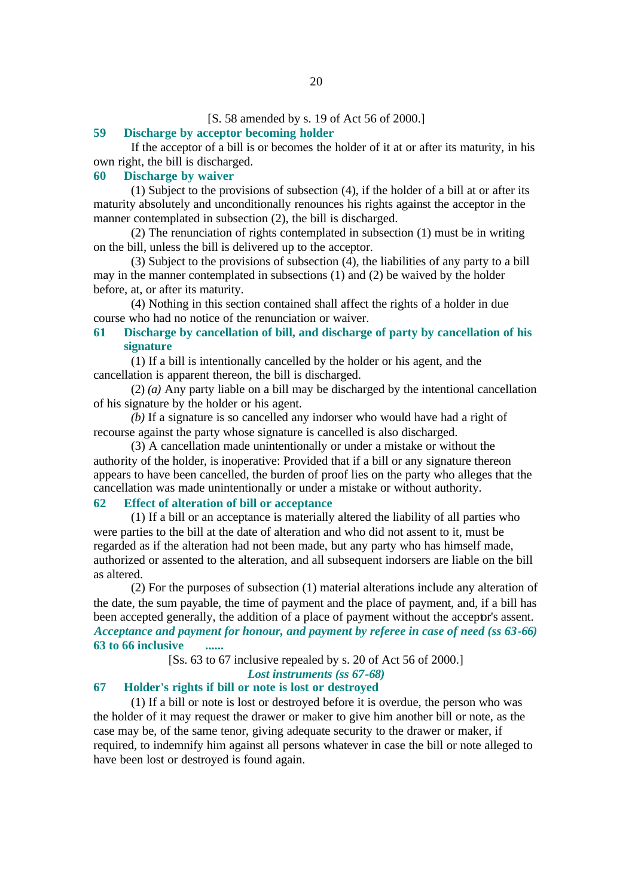#### [S. 58 amended by s. 19 of Act 56 of 2000.]

#### **59 Discharge by acceptor becoming holder**

If the acceptor of a bill is or becomes the holder of it at or after its maturity, in his own right, the bill is discharged.

#### **60 Discharge by waiver**

(1) Subject to the provisions of subsection (4), if the holder of a bill at or after its maturity absolutely and unconditionally renounces his rights against the acceptor in the manner contemplated in subsection (2), the bill is discharged.

(2) The renunciation of rights contemplated in subsection (1) must be in writing on the bill, unless the bill is delivered up to the acceptor.

(3) Subject to the provisions of subsection (4), the liabilities of any party to a bill may in the manner contemplated in subsections (1) and (2) be waived by the holder before, at, or after its maturity.

(4) Nothing in this section contained shall affect the rights of a holder in due course who had no notice of the renunciation or waiver.

### **61 Discharge by cancellation of bill, and discharge of party by cancellation of his signature**

(1) If a bill is intentionally cancelled by the holder or his agent, and the cancellation is apparent thereon, the bill is discharged.

(2) *(a)* Any party liable on a bill may be discharged by the intentional cancellation of his signature by the holder or his agent.

*(b)* If a signature is so cancelled any indorser who would have had a right of recourse against the party whose signature is cancelled is also discharged.

(3) A cancellation made unintentionally or under a mistake or without the authority of the holder, is inoperative: Provided that if a bill or any signature thereon appears to have been cancelled, the burden of proof lies on the party who alleges that the cancellation was made unintentionally or under a mistake or without authority.

### **62 Effect of alteration of bill or acceptance**

(1) If a bill or an acceptance is materially altered the liability of all parties who were parties to the bill at the date of alteration and who did not assent to it, must be regarded as if the alteration had not been made, but any party who has himself made, authorized or assented to the alteration, and all subsequent indorsers are liable on the bill as altered.

(2) For the purposes of subsection (1) material alterations include any alteration of the date, the sum payable, the time of payment and the place of payment, and, if a bill has been accepted generally, the addition of a place of payment without the acceptor's assent. *Acceptance and payment for honour, and payment by referee in case of need (ss 63-66)* **63 to 66 inclusive ......**

[Ss. 63 to 67 inclusive repealed by s. 20 of Act 56 of 2000.]

*Lost instruments (ss 67-68)*

### **67 Holder's rights if bill or note is lost or destroyed**

(1) If a bill or note is lost or destroyed before it is overdue, the person who was the holder of it may request the drawer or maker to give him another bill or note, as the case may be, of the same tenor, giving adequate security to the drawer or maker, if required, to indemnify him against all persons whatever in case the bill or note alleged to have been lost or destroyed is found again.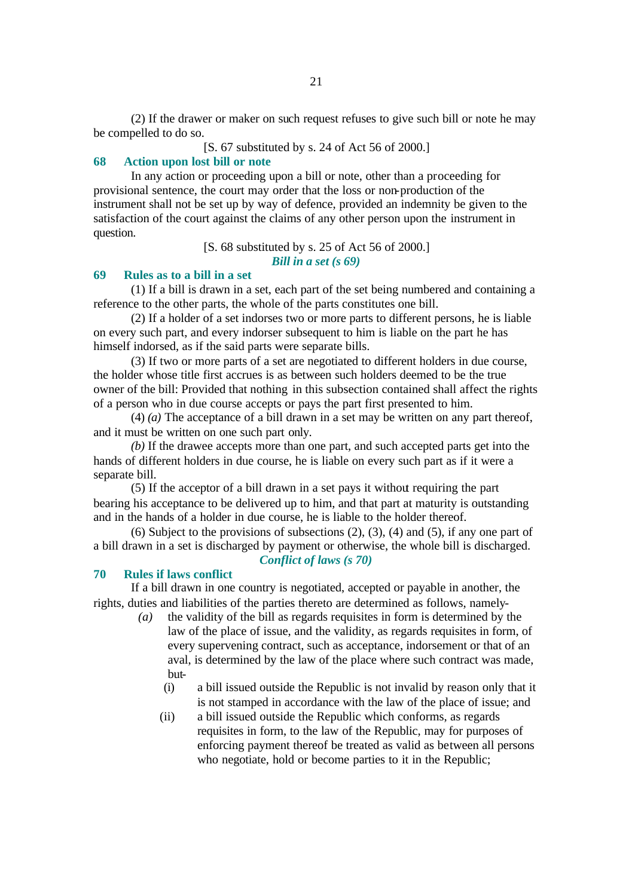(2) If the drawer or maker on such request refuses to give such bill or note he may be compelled to do so.

[S. 67 substituted by s. 24 of Act 56 of 2000.]

### **68 Action upon lost bill or note**

In any action or proceeding upon a bill or note, other than a proceeding for provisional sentence, the court may order that the loss or non-production of the instrument shall not be set up by way of defence, provided an indemnity be given to the satisfaction of the court against the claims of any other person upon the instrument in question.

[S. 68 substituted by s. 25 of Act 56 of 2000.]

*Bill in a set (s 69)*

#### **69 Rules as to a bill in a set**

(1) If a bill is drawn in a set, each part of the set being numbered and containing a reference to the other parts, the whole of the parts constitutes one bill.

(2) If a holder of a set indorses two or more parts to different persons, he is liable on every such part, and every indorser subsequent to him is liable on the part he has himself indorsed, as if the said parts were separate bills.

(3) If two or more parts of a set are negotiated to different holders in due course, the holder whose title first accrues is as between such holders deemed to be the true owner of the bill: Provided that nothing in this subsection contained shall affect the rights of a person who in due course accepts or pays the part first presented to him.

(4) *(a)* The acceptance of a bill drawn in a set may be written on any part thereof, and it must be written on one such part only.

*(b)* If the drawee accepts more than one part, and such accepted parts get into the hands of different holders in due course, he is liable on every such part as if it were a separate bill.

(5) If the acceptor of a bill drawn in a set pays it without requiring the part bearing his acceptance to be delivered up to him, and that part at maturity is outstanding and in the hands of a holder in due course, he is liable to the holder thereof.

(6) Subject to the provisions of subsections (2), (3), (4) and (5), if any one part of a bill drawn in a set is discharged by payment or otherwise, the whole bill is discharged. *Conflict of laws (s 70)*

#### **70 Rules if laws conflict**

If a bill drawn in one country is negotiated, accepted or payable in another, the rights, duties and liabilities of the parties thereto are determined as follows, namely-

- *(a)* the validity of the bill as regards requisites in form is determined by the law of the place of issue, and the validity, as regards requisites in form, of every supervening contract, such as acceptance, indorsement or that of an aval, is determined by the law of the place where such contract was made, but-
	- (i) a bill issued outside the Republic is not invalid by reason only that it is not stamped in accordance with the law of the place of issue; and
	- (ii) a bill issued outside the Republic which conforms, as regards requisites in form, to the law of the Republic, may for purposes of enforcing payment thereof be treated as valid as between all persons who negotiate, hold or become parties to it in the Republic;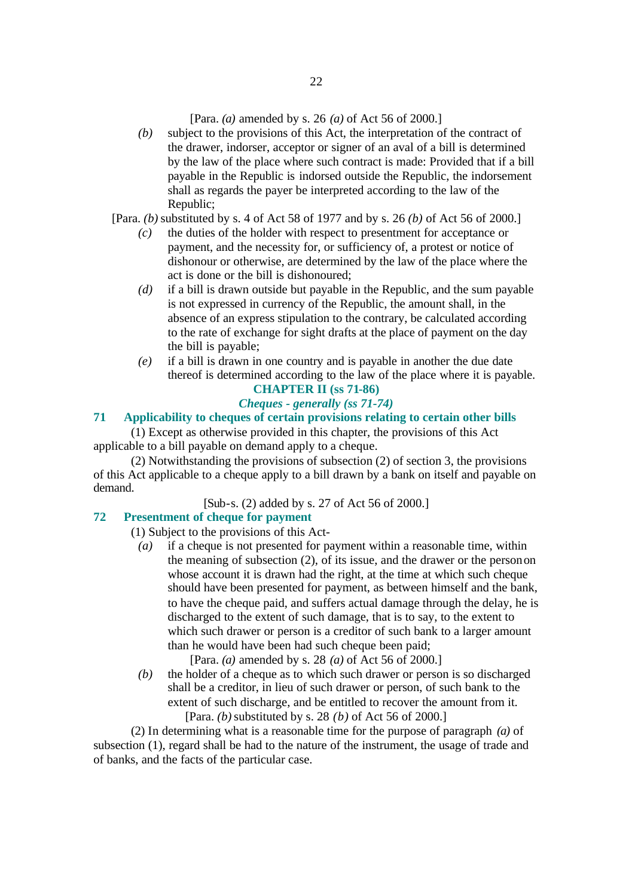[Para. *(a)* amended by s. 26 *(a)* of Act 56 of 2000.]

*(b)* subject to the provisions of this Act, the interpretation of the contract of the drawer, indorser, acceptor or signer of an aval of a bill is determined by the law of the place where such contract is made: Provided that if a bill payable in the Republic is indorsed outside the Republic, the indorsement shall as regards the payer be interpreted according to the law of the Republic;

[Para. *(b)* substituted by s. 4 of Act 58 of 1977 and by s. 26 *(b)* of Act 56 of 2000.]

- *(c)* the duties of the holder with respect to presentment for acceptance or payment, and the necessity for, or sufficiency of, a protest or notice of dishonour or otherwise, are determined by the law of the place where the act is done or the bill is dishonoured;
- *(d)* if a bill is drawn outside but payable in the Republic, and the sum payable is not expressed in currency of the Republic, the amount shall, in the absence of an express stipulation to the contrary, be calculated according to the rate of exchange for sight drafts at the place of payment on the day the bill is payable;
- *(e)* if a bill is drawn in one country and is payable in another the due date thereof is determined according to the law of the place where it is payable.

### **CHAPTER II (ss 71-86)** *Cheques - generally (ss 71-74)*

### **71 Applicability to cheques of certain provisions relating to certain other bills**

(1) Except as otherwise provided in this chapter, the provisions of this Act applicable to a bill payable on demand apply to a cheque.

(2) Notwithstanding the provisions of subsection (2) of section 3, the provisions of this Act applicable to a cheque apply to a bill drawn by a bank on itself and payable on demand.

[Sub-s. (2) added by s. 27 of Act 56 of 2000.]

### **72 Presentment of cheque for payment**

(1) Subject to the provisions of this Act-

*(a)* if a cheque is not presented for payment within a reasonable time, within the meaning of subsection (2), of its issue, and the drawer or the person on whose account it is drawn had the right, at the time at which such cheque should have been presented for payment, as between himself and the bank, to have the cheque paid, and suffers actual damage through the delay, he is discharged to the extent of such damage, that is to say, to the extent to which such drawer or person is a creditor of such bank to a larger amount than he would have been had such cheque been paid;

[Para. *(a)* amended by s. 28 *(a)* of Act 56 of 2000.]

*(b)* the holder of a cheque as to which such drawer or person is so discharged shall be a creditor, in lieu of such drawer or person, of such bank to the extent of such discharge, and be entitled to recover the amount from it. [Para. *(b)* substituted by s. 28 *(b)* of Act 56 of 2000.]

(2) In determining what is a reasonable time for the purpose of paragraph *(a)* of subsection (1), regard shall be had to the nature of the instrument, the usage of trade and of banks, and the facts of the particular case.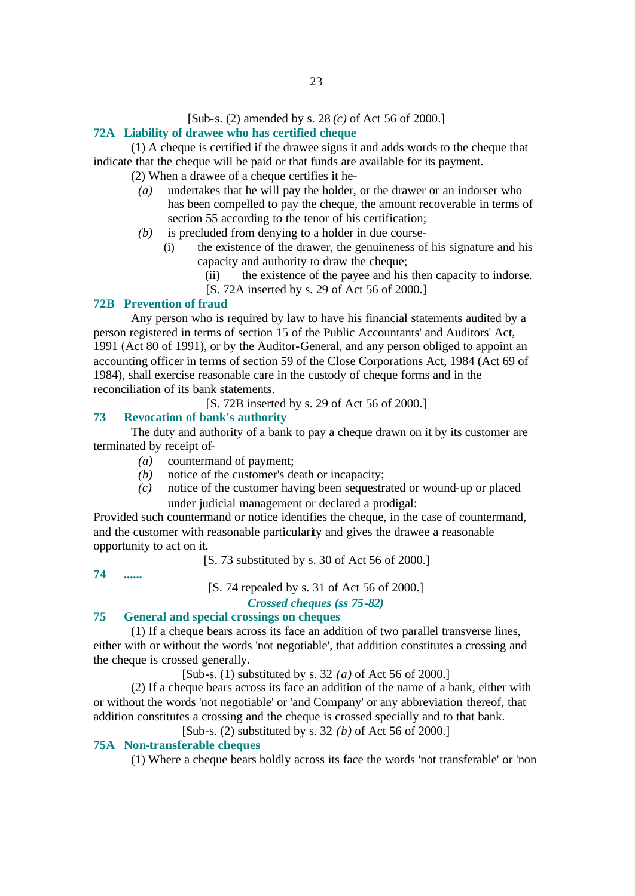#### [Sub-s. (2) amended by s. 28 *(c)* of Act 56 of 2000.]

### **72A Liability of drawee who has certified cheque**

(1) A cheque is certified if the drawee signs it and adds words to the cheque that indicate that the cheque will be paid or that funds are available for its payment.

(2) When a drawee of a cheque certifies it he-

- *(a)* undertakes that he will pay the holder, or the drawer or an indorser who has been compelled to pay the cheque, the amount recoverable in terms of section 55 according to the tenor of his certification;
- *(b)* is precluded from denying to a holder in due course-
	- (i) the existence of the drawer, the genuineness of his signature and his capacity and authority to draw the cheque;
		- (ii) the existence of the payee and his then capacity to indorse.
		- [S. 72A inserted by s. 29 of Act 56 of 2000.]

### **72B Prevention of fraud**

Any person who is required by law to have his financial statements audited by a person registered in terms of section 15 of the Public Accountants' and Auditors' Act, 1991 (Act 80 of 1991), or by the Auditor-General, and any person obliged to appoint an accounting officer in terms of section 59 of the Close Corporations Act, 1984 (Act 69 of 1984), shall exercise reasonable care in the custody of cheque forms and in the reconciliation of its bank statements.

[S. 72B inserted by s. 29 of Act 56 of 2000.]

### **73 Revocation of bank's authority**

The duty and authority of a bank to pay a cheque drawn on it by its customer are terminated by receipt of-

- *(a)* countermand of payment;
- *(b)* notice of the customer's death or incapacity;
- *(c)* notice of the customer having been sequestrated or wound-up or placed under judicial management or declared a prodigal:

Provided such countermand or notice identifies the cheque, in the case of countermand, and the customer with reasonable particularity and gives the drawee a reasonable opportunity to act on it.

[S. 73 substituted by s. 30 of Act 56 of 2000.]

**74 ......**

[S. 74 repealed by s. 31 of Act 56 of 2000.]

*Crossed cheques (ss 75-82)*

### **75 General and special crossings on cheques**

(1) If a cheque bears across its face an addition of two parallel transverse lines, either with or without the words 'not negotiable', that addition constitutes a crossing and the cheque is crossed generally.

[Sub-s. (1) substituted by s. 32 *(a)* of Act 56 of 2000.]

(2) If a cheque bears across its face an addition of the name of a bank, either with or without the words 'not negotiable' or 'and Company' or any abbreviation thereof, that addition constitutes a crossing and the cheque is crossed specially and to that bank.

[Sub-s. (2) substituted by s. 32 *(b)* of Act 56 of 2000.]

### **75A Non-transferable cheques**

(1) Where a cheque bears boldly across its face the words 'not transferable' or 'non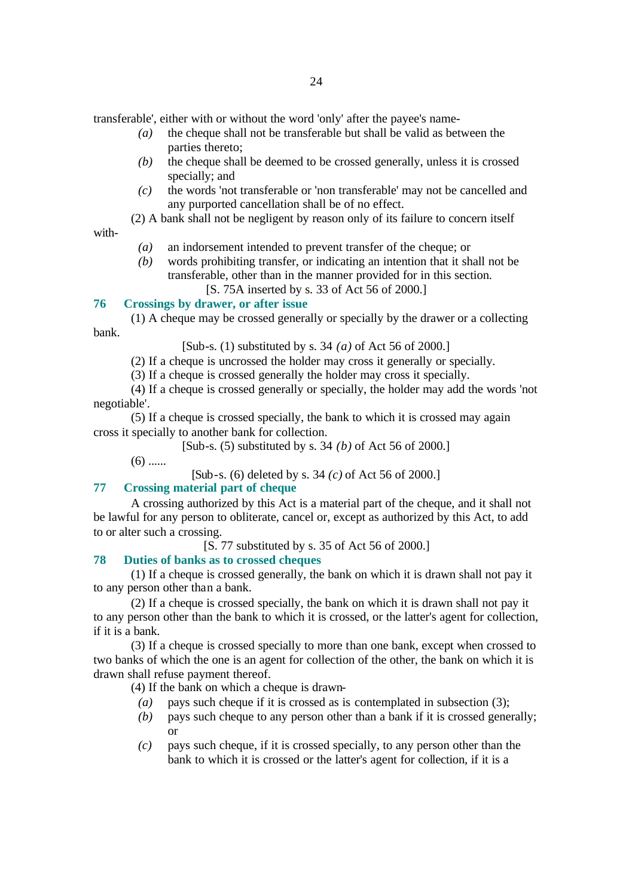transferable', either with or without the word 'only' after the payee's name-

- *(a)* the cheque shall not be transferable but shall be valid as between the parties thereto;
- *(b)* the cheque shall be deemed to be crossed generally, unless it is crossed specially; and
- *(c)* the words 'not transferable or 'non transferable' may not be cancelled and any purported cancellation shall be of no effect.
- (2) A bank shall not be negligent by reason only of its failure to concern itself

with-

- *(a)* an indorsement intended to prevent transfer of the cheque; or
- *(b)* words prohibiting transfer, or indicating an intention that it shall not be transferable, other than in the manner provided for in this section. [S. 75A inserted by s. 33 of Act 56 of 2000.]

#### **76 Crossings by drawer, or after issue**

(1) A cheque may be crossed generally or specially by the drawer or a collecting bank.

[Sub-s. (1) substituted by s. 34 *(a)* of Act 56 of 2000.]

(2) If a cheque is uncrossed the holder may cross it generally or specially.

(3) If a cheque is crossed generally the holder may cross it specially.

(4) If a cheque is crossed generally or specially, the holder may add the words 'not negotiable'.

(5) If a cheque is crossed specially, the bank to which it is crossed may again cross it specially to another bank for collection.

[Sub-s. (5) substituted by s. 34 *(b)* of Act 56 of 2000.]

 $(6)$  ......

[Sub-s. (6) deleted by s. 34 *(c)* of Act 56 of 2000.]

### **77 Crossing material part of cheque**

A crossing authorized by this Act is a material part of the cheque, and it shall not be lawful for any person to obliterate, cancel or, except as authorized by this Act, to add to or alter such a crossing.

[S. 77 substituted by s. 35 of Act 56 of 2000.]

### **78 Duties of banks as to crossed cheques**

(1) If a cheque is crossed generally, the bank on which it is drawn shall not pay it to any person other than a bank.

(2) If a cheque is crossed specially, the bank on which it is drawn shall not pay it to any person other than the bank to which it is crossed, or the latter's agent for collection, if it is a bank.

(3) If a cheque is crossed specially to more than one bank, except when crossed to two banks of which the one is an agent for collection of the other, the bank on which it is drawn shall refuse payment thereof.

(4) If the bank on which a cheque is drawn-

- *(a)* pays such cheque if it is crossed as is contemplated in subsection (3);
- *(b)* pays such cheque to any person other than a bank if it is crossed generally; or
- *(c)* pays such cheque, if it is crossed specially, to any person other than the bank to which it is crossed or the latter's agent for collection, if it is a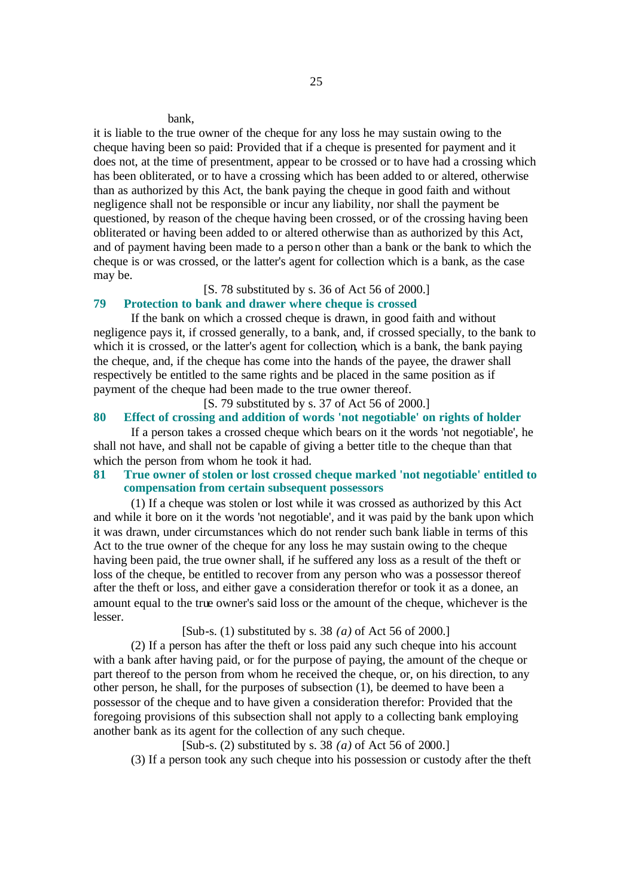#### bank,

it is liable to the true owner of the cheque for any loss he may sustain owing to the cheque having been so paid: Provided that if a cheque is presented for payment and it does not, at the time of presentment, appear to be crossed or to have had a crossing which has been obliterated, or to have a crossing which has been added to or altered, otherwise than as authorized by this Act, the bank paying the cheque in good faith and without negligence shall not be responsible or incur any liability, nor shall the payment be questioned, by reason of the cheque having been crossed, or of the crossing having been obliterated or having been added to or altered otherwise than as authorized by this Act, and of payment having been made to a person other than a bank or the bank to which the cheque is or was crossed, or the latter's agent for collection which is a bank, as the case may be.

### [S. 78 substituted by s. 36 of Act 56 of 2000.]

### **79 Protection to bank and drawer where cheque is crossed**

If the bank on which a crossed cheque is drawn, in good faith and without negligence pays it, if crossed generally, to a bank, and, if crossed specially, to the bank to which it is crossed, or the latter's agent for collection, which is a bank, the bank paying the cheque, and, if the cheque has come into the hands of the payee, the drawer shall respectively be entitled to the same rights and be placed in the same position as if payment of the cheque had been made to the true owner thereof.

[S. 79 substituted by s. 37 of Act 56 of 2000.]

### **80 Effect of crossing and addition of words 'not negotiable' on rights of holder**

If a person takes a crossed cheque which bears on it the words 'not negotiable', he shall not have, and shall not be capable of giving a better title to the cheque than that which the person from whom he took it had.

### **81 True owner of stolen or lost crossed cheque marked 'not negotiable' entitled to compensation from certain subsequent possessors**

(1) If a cheque was stolen or lost while it was crossed as authorized by this Act and while it bore on it the words 'not negotiable', and it was paid by the bank upon which it was drawn, under circumstances which do not render such bank liable in terms of this Act to the true owner of the cheque for any loss he may sustain owing to the cheque having been paid, the true owner shall, if he suffered any loss as a result of the theft or loss of the cheque, be entitled to recover from any person who was a possessor thereof after the theft or loss, and either gave a consideration therefor or took it as a donee, an amount equal to the true owner's said loss or the amount of the cheque, whichever is the lesser.

### [Sub-s. (1) substituted by s. 38 *(a)* of Act 56 of 2000.]

(2) If a person has after the theft or loss paid any such cheque into his account with a bank after having paid, or for the purpose of paying, the amount of the cheque or part thereof to the person from whom he received the cheque, or, on his direction, to any other person, he shall, for the purposes of subsection (1), be deemed to have been a possessor of the cheque and to have given a consideration therefor: Provided that the foregoing provisions of this subsection shall not apply to a collecting bank employing another bank as its agent for the collection of any such cheque.

[Sub-s. (2) substituted by s. 38 *(a)* of Act 56 of 2000.]

(3) If a person took any such cheque into his possession or custody after the theft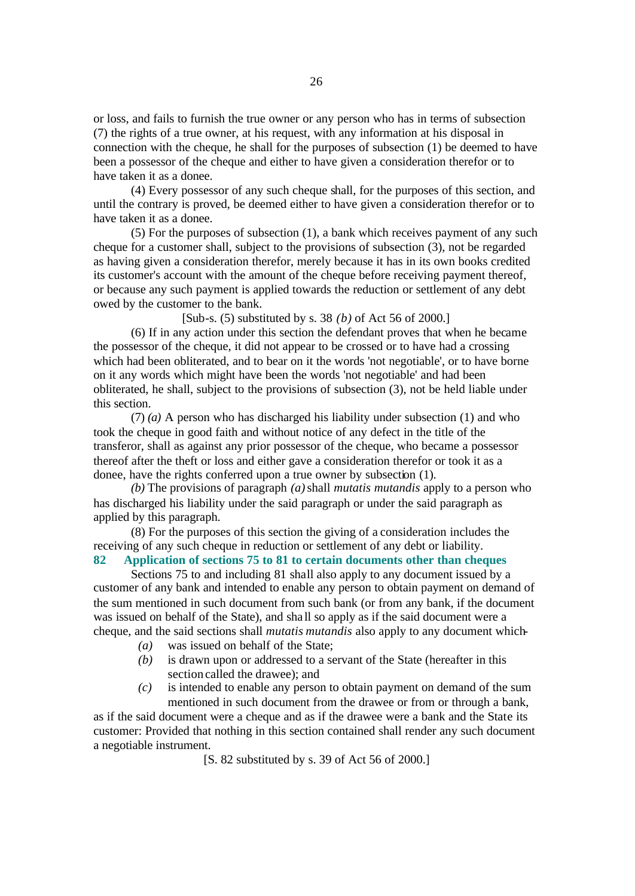or loss, and fails to furnish the true owner or any person who has in terms of subsection (7) the rights of a true owner, at his request, with any information at his disposal in connection with the cheque, he shall for the purposes of subsection (1) be deemed to have been a possessor of the cheque and either to have given a consideration therefor or to have taken it as a donee.

(4) Every possessor of any such cheque shall, for the purposes of this section, and until the contrary is proved, be deemed either to have given a consideration therefor or to have taken it as a donee.

(5) For the purposes of subsection (1), a bank which receives payment of any such cheque for a customer shall, subject to the provisions of subsection (3), not be regarded as having given a consideration therefor, merely because it has in its own books credited its customer's account with the amount of the cheque before receiving payment thereof, or because any such payment is applied towards the reduction or settlement of any debt owed by the customer to the bank.

[Sub-s. (5) substituted by s. 38 *(b)* of Act 56 of 2000.]

(6) If in any action under this section the defendant proves that when he became the possessor of the cheque, it did not appear to be crossed or to have had a crossing which had been obliterated, and to bear on it the words 'not negotiable', or to have borne on it any words which might have been the words 'not negotiable' and had been obliterated, he shall, subject to the provisions of subsection (3), not be held liable under this section.

(7) *(a)* A person who has discharged his liability under subsection (1) and who took the cheque in good faith and without notice of any defect in the title of the transferor, shall as against any prior possessor of the cheque, who became a possessor thereof after the theft or loss and either gave a consideration therefor or took it as a donee, have the rights conferred upon a true owner by subsection (1).

*(b)* The provisions of paragraph *(a)* shall *mutatis mutandis* apply to a person who has discharged his liability under the said paragraph or under the said paragraph as applied by this paragraph.

(8) For the purposes of this section the giving of a consideration includes the receiving of any such cheque in reduction or settlement of any debt or liability.

### **82 Application of sections 75 to 81 to certain documents other than cheques**

Sections 75 to and including 81 shall also apply to any document issued by a customer of any bank and intended to enable any person to obtain payment on demand of the sum mentioned in such document from such bank (or from any bank, if the document was issued on behalf of the State), and sha ll so apply as if the said document were a cheque, and the said sections shall *mutatis mutandis* also apply to any document which-

- *(a)* was issued on behalf of the State;
- *(b)* is drawn upon or addressed to a servant of the State (hereafter in this section called the drawee); and
- *(c)* is intended to enable any person to obtain payment on demand of the sum mentioned in such document from the drawee or from or through a bank,

as if the said document were a cheque and as if the drawee were a bank and the State its customer: Provided that nothing in this section contained shall render any such document a negotiable instrument.

[S. 82 substituted by s. 39 of Act 56 of 2000.]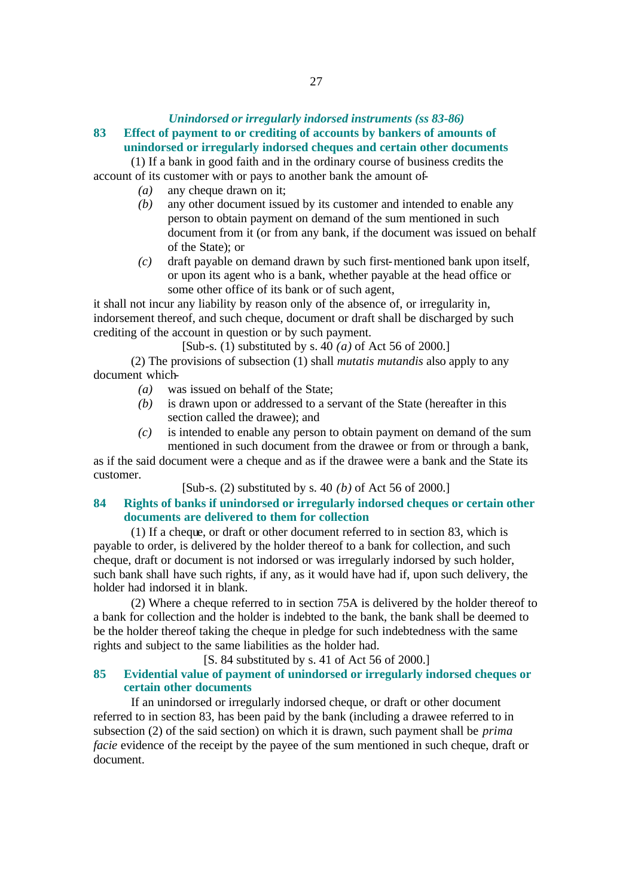### *Unindorsed or irregularly indorsed instruments (ss 83-86)*

### **83 Effect of payment to or crediting of accounts by bankers of amounts of unindorsed or irregularly indorsed cheques and certain other documents**

(1) If a bank in good faith and in the ordinary course of business credits the account of its customer with or pays to another bank the amount of-

- *(a)* any cheque drawn on it;
- *(b)* any other document issued by its customer and intended to enable any person to obtain payment on demand of the sum mentioned in such document from it (or from any bank, if the document was issued on behalf of the State); or
- *(c)* draft payable on demand drawn by such first-mentioned bank upon itself, or upon its agent who is a bank, whether payable at the head office or some other office of its bank or of such agent,

it shall not incur any liability by reason only of the absence of, or irregularity in, indorsement thereof, and such cheque, document or draft shall be discharged by such crediting of the account in question or by such payment.

[Sub-s. (1) substituted by s. 40 *(a)* of Act 56 of 2000.]

(2) The provisions of subsection (1) shall *mutatis mutandis* also apply to any document which-

- *(a)* was issued on behalf of the State;
- *(b)* is drawn upon or addressed to a servant of the State (hereafter in this section called the drawee); and
- *(c)* is intended to enable any person to obtain payment on demand of the sum mentioned in such document from the drawee or from or through a bank,

as if the said document were a cheque and as if the drawee were a bank and the State its customer.

[Sub-s. (2) substituted by s. 40 *(b)* of Act 56 of 2000.]

### **84 Rights of banks if unindorsed or irregularly indorsed cheques or certain other documents are delivered to them for collection**

(1) If a cheque, or draft or other document referred to in section 83, which is payable to order, is delivered by the holder thereof to a bank for collection, and such cheque, draft or document is not indorsed or was irregularly indorsed by such holder, such bank shall have such rights, if any, as it would have had if, upon such delivery, the holder had indorsed it in blank.

(2) Where a cheque referred to in section 75A is delivered by the holder thereof to a bank for collection and the holder is indebted to the bank, the bank shall be deemed to be the holder thereof taking the cheque in pledge for such indebtedness with the same rights and subject to the same liabilities as the holder had.

[S. 84 substituted by s. 41 of Act 56 of 2000.]

### **85 Evidential value of payment of unindorsed or irregularly indorsed cheques or certain other documents**

If an unindorsed or irregularly indorsed cheque, or draft or other document referred to in section 83, has been paid by the bank (including a drawee referred to in subsection (2) of the said section) on which it is drawn, such payment shall be *prima facie* evidence of the receipt by the payee of the sum mentioned in such cheque, draft or document.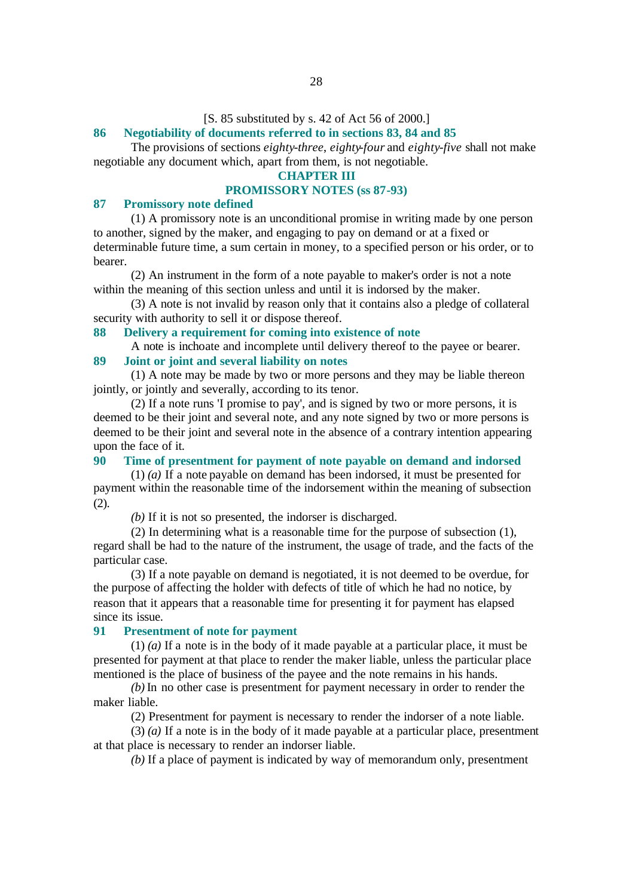#### [S. 85 substituted by s. 42 of Act 56 of 2000.]

#### **86 Negotiability of documents referred to in sections 83, 84 and 85**

The provisions of sections *eighty-three*, *eighty-four* and *eighty-five* shall not make negotiable any document which, apart from them, is not negotiable.

#### **CHAPTER III**

#### **PROMISSORY NOTES (ss 87-93)**

### **87 Promissory note defined**

(1) A promissory note is an unconditional promise in writing made by one person to another, signed by the maker, and engaging to pay on demand or at a fixed or determinable future time, a sum certain in money, to a specified person or his order, or to bearer.

(2) An instrument in the form of a note payable to maker's order is not a note within the meaning of this section unless and until it is indorsed by the maker.

(3) A note is not invalid by reason only that it contains also a pledge of collateral security with authority to sell it or dispose thereof.

### **88 Delivery a requirement for coming into existence of note**

A note is inchoate and incomplete until delivery thereof to the payee or bearer.

#### **89 Joint or joint and several liability on notes**

(1) A note may be made by two or more persons and they may be liable thereon jointly, or jointly and severally, according to its tenor.

(2) If a note runs 'I promise to pay', and is signed by two or more persons, it is deemed to be their joint and several note, and any note signed by two or more persons is deemed to be their joint and several note in the absence of a contrary intention appearing upon the face of it.

### **90 Time of presentment for payment of note payable on demand and indorsed**

(1) *(a)* If a note payable on demand has been indorsed, it must be presented for payment within the reasonable time of the indorsement within the meaning of subsection (2).

*(b)* If it is not so presented, the indorser is discharged.

(2) In determining what is a reasonable time for the purpose of subsection (1), regard shall be had to the nature of the instrument, the usage of trade, and the facts of the particular case.

(3) If a note payable on demand is negotiated, it is not deemed to be overdue, for the purpose of affecting the holder with defects of title of which he had no notice, by reason that it appears that a reasonable time for presenting it for payment has elapsed since its issue.

#### **91 Presentment of note for payment**

(1) *(a)* If a note is in the body of it made payable at a particular place, it must be presented for payment at that place to render the maker liable, unless the particular place mentioned is the place of business of the payee and the note remains in his hands.

*(b)* In no other case is presentment for payment necessary in order to render the maker liable.

(2) Presentment for payment is necessary to render the indorser of a note liable.

(3) *(a)* If a note is in the body of it made payable at a particular place, presentment at that place is necessary to render an indorser liable.

*(b)* If a place of payment is indicated by way of memorandum only, presentment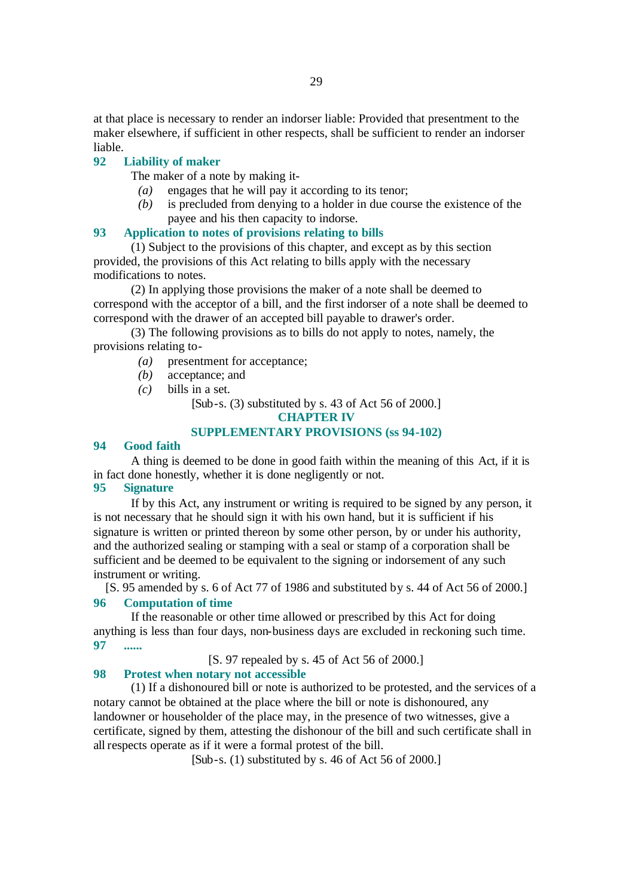at that place is necessary to render an indorser liable: Provided that presentment to the maker elsewhere, if sufficient in other respects, shall be sufficient to render an indorser liable.

### **92 Liability of maker**

The maker of a note by making it-

- *(a)* engages that he will pay it according to its tenor;
- *(b)* is precluded from denying to a holder in due course the existence of the payee and his then capacity to indorse.

#### **93 Application to notes of provisions relating to bills**

(1) Subject to the provisions of this chapter, and except as by this section provided, the provisions of this Act relating to bills apply with the necessary modifications to notes.

(2) In applying those provisions the maker of a note shall be deemed to correspond with the acceptor of a bill, and the first indorser of a note shall be deemed to correspond with the drawer of an accepted bill payable to drawer's order.

(3) The following provisions as to bills do not apply to notes, namely, the provisions relating to-

- *(a)* presentment for acceptance;
- *(b)* acceptance; and
- *(c)* bills in a set.

[Sub-s. (3) substituted by s. 43 of Act 56 of 2000.]

**CHAPTER IV**

#### **SUPPLEMENTARY PROVISIONS (ss 94-102)**

### **94 Good faith**

A thing is deemed to be done in good faith within the meaning of this Act, if it is in fact done honestly, whether it is done negligently or not.

#### **95 Signature**

If by this Act, any instrument or writing is required to be signed by any person, it is not necessary that he should sign it with his own hand, but it is sufficient if his signature is written or printed thereon by some other person, by or under his authority, and the authorized sealing or stamping with a seal or stamp of a corporation shall be sufficient and be deemed to be equivalent to the signing or indorsement of any such instrument or writing.

[S. 95 amended by s. 6 of Act 77 of 1986 and substituted by s. 44 of Act 56 of 2000.]

### **96 Computation of time**

If the reasonable or other time allowed or prescribed by this Act for doing anything is less than four days, non-business days are excluded in reckoning such time. **97 ......**

[S. 97 repealed by s. 45 of Act 56 of 2000.]

### **98 Protest when notary not accessible**

(1) If a dishonoured bill or note is authorized to be protested, and the services of a notary cannot be obtained at the place where the bill or note is dishonoured, any landowner or householder of the place may, in the presence of two witnesses, give a certificate, signed by them, attesting the dishonour of the bill and such certificate shall in all respects operate as if it were a formal protest of the bill.

[Sub-s. (1) substituted by s. 46 of Act 56 of 2000.]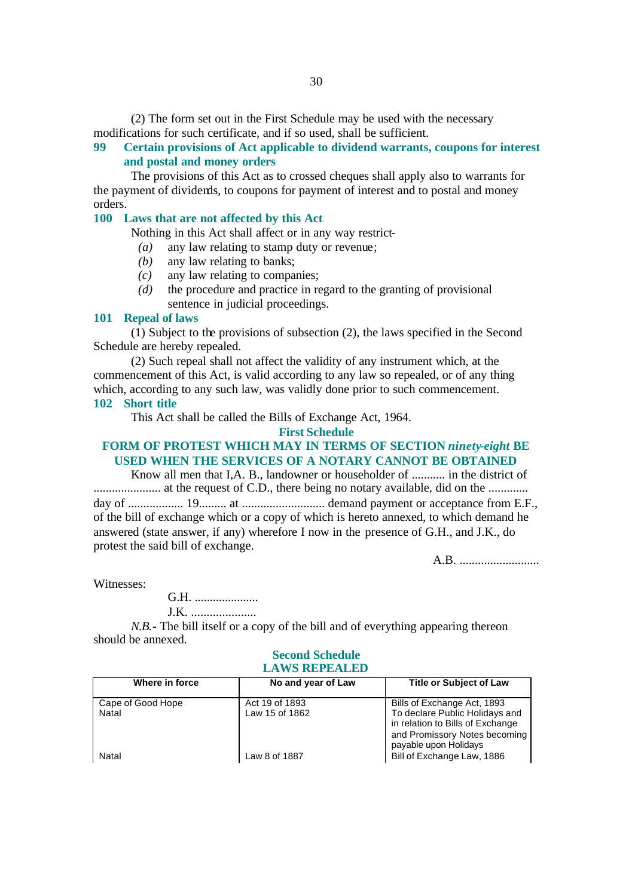(2) The form set out in the First Schedule may be used with the necessary modifications for such certificate, and if so used, shall be sufficient.

### **99 Certain provisions of Act applicable to dividend warrants, coupons for interest and postal and money orders**

The provisions of this Act as to crossed cheques shall apply also to warrants for the payment of dividends, to coupons for payment of interest and to postal and money orders.

### **100 Laws that are not affected by this Act**

Nothing in this Act shall affect or in any way restrict-

- *(a)* any law relating to stamp duty or revenue;
- *(b)* any law relating to banks;
- *(c)* any law relating to companies;
- *(d)* the procedure and practice in regard to the granting of provisional sentence in judicial proceedings.

#### **101 Repeal of laws**

(1) Subject to the provisions of subsection (2), the laws specified in the Second Schedule are hereby repealed.

(2) Such repeal shall not affect the validity of any instrument which, at the commencement of this Act, is valid according to any law so repealed, or of any thing which, according to any such law, was validly done prior to such commencement. **102 Short title**

This Act shall be called the Bills of Exchange Act, 1964.

#### **First Schedule**

### **FORM OF PROTEST WHICH MAY IN TERMS OF SECTION** *ninety-eight* **BE USED WHEN THE SERVICES OF A NOTARY CANNOT BE OBTAINED**

Know all men that I,A. B., landowner or householder of ........... in the district of ...................... at the request of C.D., there being no notary available, did on the ............. day of .................. 19......... at ........................... demand payment or acceptance from E.F., of the bill of exchange which or a copy of which is hereto annexed, to which demand he answered (state answer, if any) wherefore I now in the presence of G.H., and J.K., do protest the said bill of exchange.

A.B. ..........................

Witnesses:

G.H. ..................... J.K. .....................

*N.B.*- The bill itself or a copy of the bill and of everything appearing thereon should be annexed.

#### **Second Schedule LAWS REPEALED**

| Where in force             | No and year of Law               | <b>Title or Subject of Law</b>                                                                                                                              |
|----------------------------|----------------------------------|-------------------------------------------------------------------------------------------------------------------------------------------------------------|
| Cape of Good Hope<br>Natal | Act 19 of 1893<br>Law 15 of 1862 | Bills of Exchange Act, 1893<br>To declare Public Holidays and<br>in relation to Bills of Exchange<br>and Promissory Notes becoming<br>payable upon Holidays |
| Natal                      | Law 8 of 1887                    | Bill of Exchange Law, 1886                                                                                                                                  |